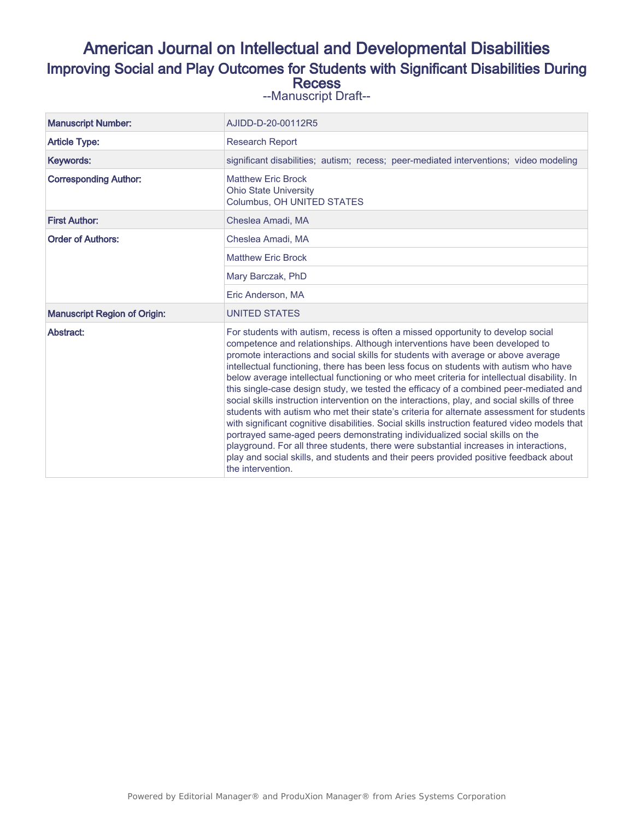# American Journal on Intellectual and Developmental Disabilities Improving Social and Play Outcomes for Students with Significant Disabilities During **Recess**

--Manuscript Draft--

| <b>Manuscript Number:</b>           | AJIDD-D-20-00112R5                                                                                                                                                                                                                                                                                                                                                                                                                                                                                                                                                                                                                                                                                                                                                                                                                                                                                                                                                                                                                                                                                                       |  |  |  |  |  |
|-------------------------------------|--------------------------------------------------------------------------------------------------------------------------------------------------------------------------------------------------------------------------------------------------------------------------------------------------------------------------------------------------------------------------------------------------------------------------------------------------------------------------------------------------------------------------------------------------------------------------------------------------------------------------------------------------------------------------------------------------------------------------------------------------------------------------------------------------------------------------------------------------------------------------------------------------------------------------------------------------------------------------------------------------------------------------------------------------------------------------------------------------------------------------|--|--|--|--|--|
| <b>Article Type:</b>                | <b>Research Report</b>                                                                                                                                                                                                                                                                                                                                                                                                                                                                                                                                                                                                                                                                                                                                                                                                                                                                                                                                                                                                                                                                                                   |  |  |  |  |  |
| Keywords:                           | significant disabilities; autism; recess; peer-mediated interventions; video modeling                                                                                                                                                                                                                                                                                                                                                                                                                                                                                                                                                                                                                                                                                                                                                                                                                                                                                                                                                                                                                                    |  |  |  |  |  |
| <b>Corresponding Author:</b>        | <b>Matthew Eric Brock</b><br><b>Ohio State University</b><br>Columbus, OH UNITED STATES                                                                                                                                                                                                                                                                                                                                                                                                                                                                                                                                                                                                                                                                                                                                                                                                                                                                                                                                                                                                                                  |  |  |  |  |  |
| <b>First Author:</b>                | Cheslea Amadi, MA                                                                                                                                                                                                                                                                                                                                                                                                                                                                                                                                                                                                                                                                                                                                                                                                                                                                                                                                                                                                                                                                                                        |  |  |  |  |  |
| <b>Order of Authors:</b>            | Cheslea Amadi, MA                                                                                                                                                                                                                                                                                                                                                                                                                                                                                                                                                                                                                                                                                                                                                                                                                                                                                                                                                                                                                                                                                                        |  |  |  |  |  |
|                                     | <b>Matthew Eric Brock</b>                                                                                                                                                                                                                                                                                                                                                                                                                                                                                                                                                                                                                                                                                                                                                                                                                                                                                                                                                                                                                                                                                                |  |  |  |  |  |
|                                     | Mary Barczak, PhD                                                                                                                                                                                                                                                                                                                                                                                                                                                                                                                                                                                                                                                                                                                                                                                                                                                                                                                                                                                                                                                                                                        |  |  |  |  |  |
|                                     | Eric Anderson, MA                                                                                                                                                                                                                                                                                                                                                                                                                                                                                                                                                                                                                                                                                                                                                                                                                                                                                                                                                                                                                                                                                                        |  |  |  |  |  |
| <b>Manuscript Region of Origin:</b> | <b>UNITED STATES</b>                                                                                                                                                                                                                                                                                                                                                                                                                                                                                                                                                                                                                                                                                                                                                                                                                                                                                                                                                                                                                                                                                                     |  |  |  |  |  |
| Abstract:                           | For students with autism, recess is often a missed opportunity to develop social<br>competence and relationships. Although interventions have been developed to<br>promote interactions and social skills for students with average or above average<br>intellectual functioning, there has been less focus on students with autism who have<br>below average intellectual functioning or who meet criteria for intellectual disability. In<br>this single-case design study, we tested the efficacy of a combined peer-mediated and<br>social skills instruction intervention on the interactions, play, and social skills of three<br>students with autism who met their state's criteria for alternate assessment for students<br>with significant cognitive disabilities. Social skills instruction featured video models that<br>portrayed same-aged peers demonstrating individualized social skills on the<br>playground. For all three students, there were substantial increases in interactions,<br>play and social skills, and students and their peers provided positive feedback about<br>the intervention. |  |  |  |  |  |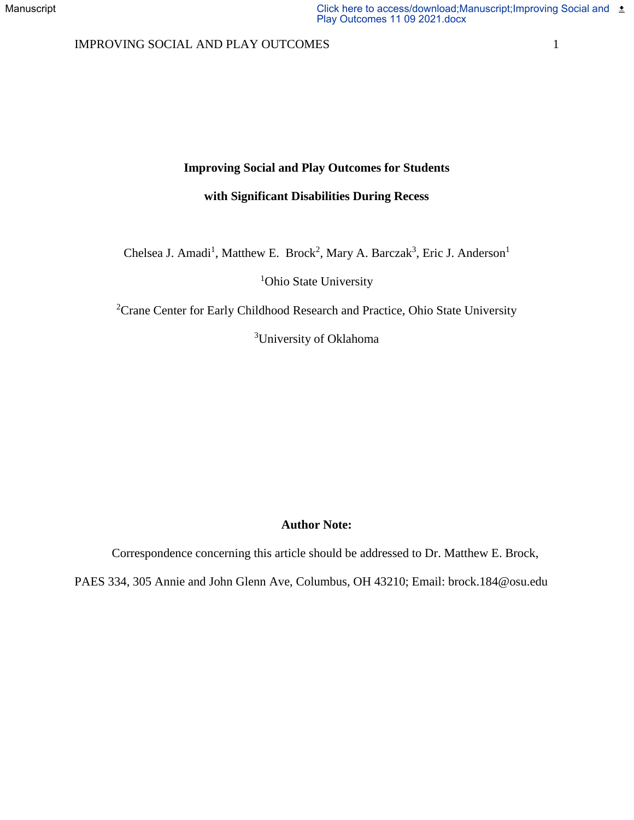## IMPROVING SOCIAL AND PLAY OUTCOMES 1

## **Improving Social and Play Outcomes for Students**

## **with Significant Disabilities During Recess**

Chelsea J. Amadi<sup>1</sup>, Matthew E. Brock<sup>2</sup>, Mary A. Barczak<sup>3</sup>, Eric J. Anderson<sup>1</sup>

<sup>1</sup>Ohio State University

<sup>2</sup>Crane Center for Early Childhood Research and Practice, Ohio State University

<sup>3</sup>University of Oklahoma

## **Author Note:**

Correspondence concerning this article should be addressed to Dr. Matthew E. Brock, PAES 334, 305 Annie and John Glenn Ave, Columbus, OH 43210; Email: brock.184@osu.edu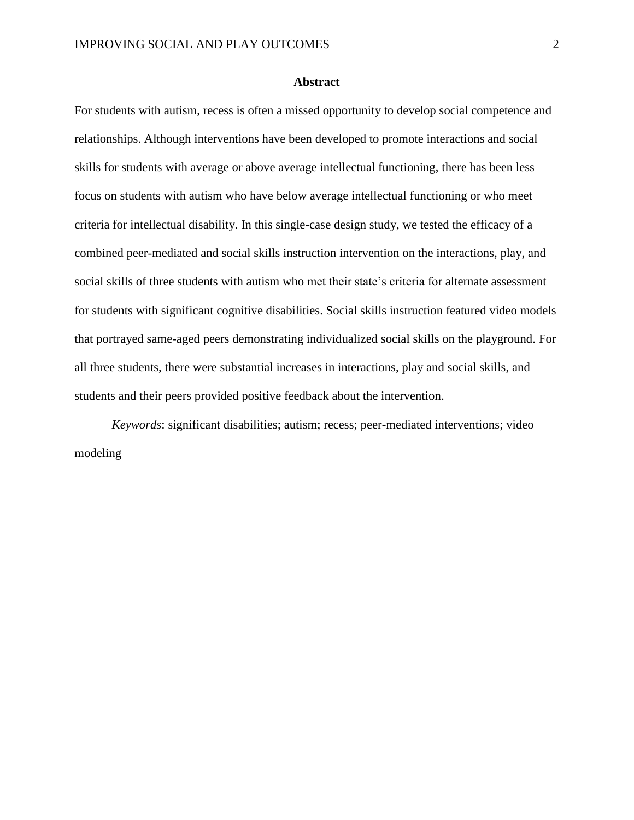#### **Abstract**

For students with autism, recess is often a missed opportunity to develop social competence and relationships. Although interventions have been developed to promote interactions and social skills for students with average or above average intellectual functioning, there has been less focus on students with autism who have below average intellectual functioning or who meet criteria for intellectual disability. In this single-case design study, we tested the efficacy of a combined peer-mediated and social skills instruction intervention on the interactions, play, and social skills of three students with autism who met their state's criteria for alternate assessment for students with significant cognitive disabilities. Social skills instruction featured video models that portrayed same-aged peers demonstrating individualized social skills on the playground. For all three students, there were substantial increases in interactions, play and social skills, and students and their peers provided positive feedback about the intervention.

*Keywords*: significant disabilities; autism; recess; peer-mediated interventions; video modeling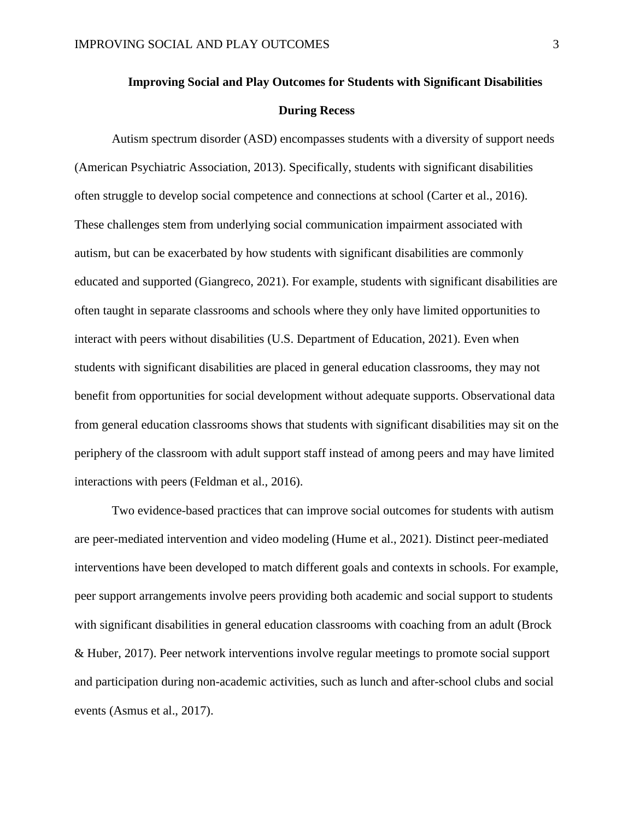# **Improving Social and Play Outcomes for Students with Significant Disabilities During Recess**

Autism spectrum disorder (ASD) encompasses students with a diversity of support needs (American Psychiatric Association, 2013). Specifically, students with significant disabilities often struggle to develop social competence and connections at school (Carter et al., 2016). These challenges stem from underlying social communication impairment associated with autism, but can be exacerbated by how students with significant disabilities are commonly educated and supported (Giangreco, 2021). For example, students with significant disabilities are often taught in separate classrooms and schools where they only have limited opportunities to interact with peers without disabilities (U.S. Department of Education, 2021). Even when students with significant disabilities are placed in general education classrooms, they may not benefit from opportunities for social development without adequate supports. Observational data from general education classrooms shows that students with significant disabilities may sit on the periphery of the classroom with adult support staff instead of among peers and may have limited interactions with peers (Feldman et al., 2016).

Two evidence-based practices that can improve social outcomes for students with autism are peer-mediated intervention and video modeling (Hume et al., 2021). Distinct peer-mediated interventions have been developed to match different goals and contexts in schools. For example, peer support arrangements involve peers providing both academic and social support to students with significant disabilities in general education classrooms with coaching from an adult (Brock & Huber, 2017). Peer network interventions involve regular meetings to promote social support and participation during non-academic activities, such as lunch and after-school clubs and social events (Asmus et al., 2017).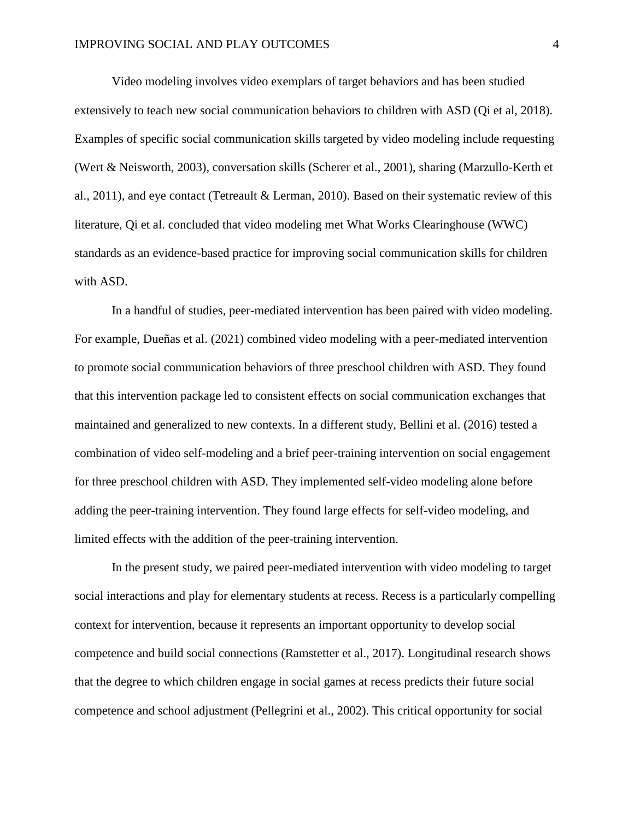Video modeling involves video exemplars of target behaviors and has been studied extensively to teach new social communication behaviors to children with ASD (Qi et al, 2018). Examples of specific social communication skills targeted by video modeling include requesting (Wert & Neisworth, 2003), conversation skills (Scherer et al., 2001), sharing (Marzullo-Kerth et al., 2011), and eye contact (Tetreault & Lerman, 2010). Based on their systematic review of this literature, Qi et al. concluded that video modeling met What Works Clearinghouse (WWC) standards as an evidence-based practice for improving social communication skills for children with ASD.

In a handful of studies, peer-mediated intervention has been paired with video modeling. For example, Dueñas et al. (2021) combined video modeling with a peer-mediated intervention to promote social communication behaviors of three preschool children with ASD. They found that this intervention package led to consistent effects on social communication exchanges that maintained and generalized to new contexts. In a different study, Bellini et al. (2016) tested a combination of video self-modeling and a brief peer-training intervention on social engagement for three preschool children with ASD. They implemented self-video modeling alone before adding the peer-training intervention. They found large effects for self-video modeling, and limited effects with the addition of the peer-training intervention.

In the present study, we paired peer-mediated intervention with video modeling to target social interactions and play for elementary students at recess. Recess is a particularly compelling context for intervention, because it represents an important opportunity to develop social competence and build social connections (Ramstetter et al., 2017). Longitudinal research shows that the degree to which children engage in social games at recess predicts their future social competence and school adjustment (Pellegrini et al., 2002). This critical opportunity for social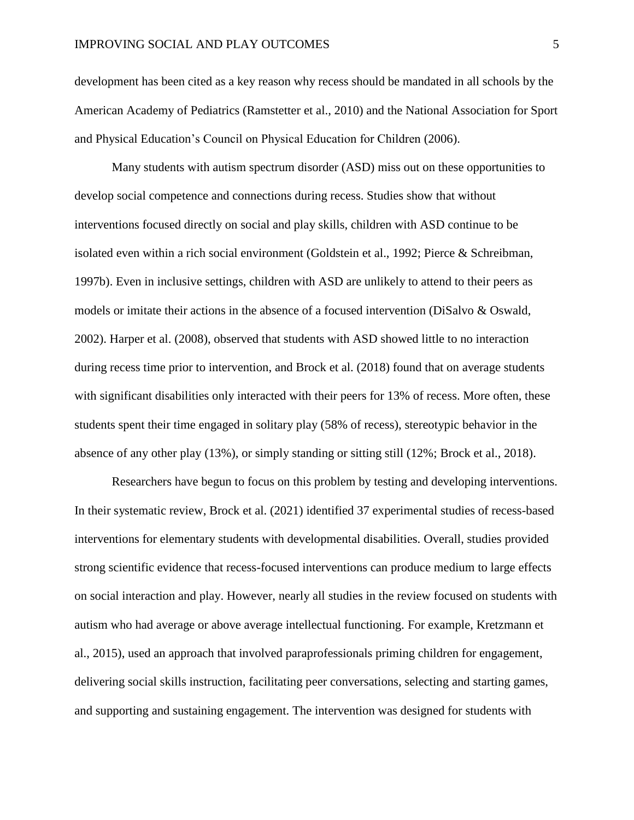development has been cited as a key reason why recess should be mandated in all schools by the American Academy of Pediatrics (Ramstetter et al., 2010) and the National Association for Sport and Physical Education's Council on Physical Education for Children (2006).

Many students with autism spectrum disorder (ASD) miss out on these opportunities to develop social competence and connections during recess. Studies show that without interventions focused directly on social and play skills, children with ASD continue to be isolated even within a rich social environment (Goldstein et al., 1992; Pierce & Schreibman, 1997b). Even in inclusive settings, children with ASD are unlikely to attend to their peers as models or imitate their actions in the absence of a focused intervention (DiSalvo & Oswald, 2002). Harper et al. (2008), observed that students with ASD showed little to no interaction during recess time prior to intervention, and Brock et al. (2018) found that on average students with significant disabilities only interacted with their peers for 13% of recess. More often, these students spent their time engaged in solitary play (58% of recess), stereotypic behavior in the absence of any other play (13%), or simply standing or sitting still (12%; Brock et al., 2018).

Researchers have begun to focus on this problem by testing and developing interventions. In their systematic review, Brock et al. (2021) identified 37 experimental studies of recess-based interventions for elementary students with developmental disabilities. Overall, studies provided strong scientific evidence that recess-focused interventions can produce medium to large effects on social interaction and play. However, nearly all studies in the review focused on students with autism who had average or above average intellectual functioning. For example, Kretzmann et al., 2015), used an approach that involved paraprofessionals priming children for engagement, delivering social skills instruction, facilitating peer conversations, selecting and starting games, and supporting and sustaining engagement. The intervention was designed for students with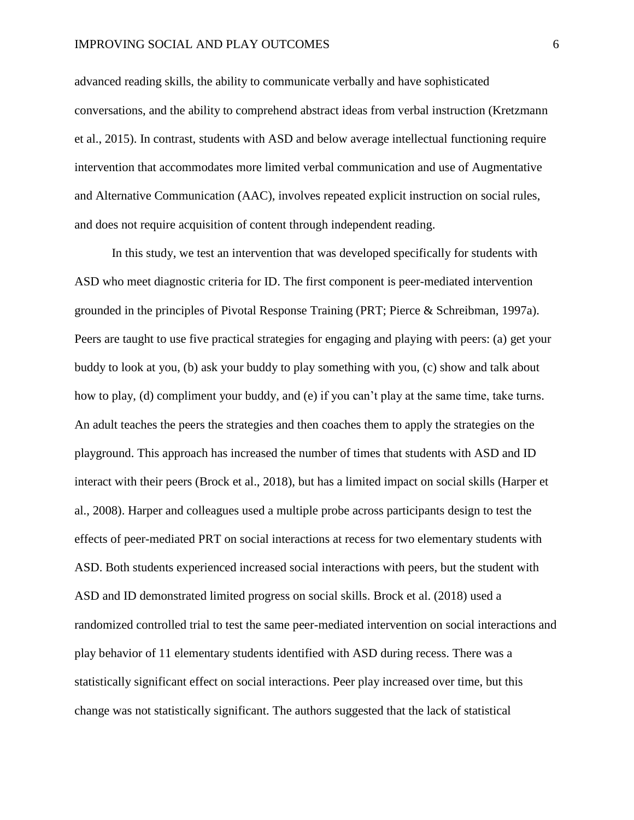#### IMPROVING SOCIAL AND PLAY OUTCOMES 6

advanced reading skills, the ability to communicate verbally and have sophisticated conversations, and the ability to comprehend abstract ideas from verbal instruction (Kretzmann et al., 2015). In contrast, students with ASD and below average intellectual functioning require intervention that accommodates more limited verbal communication and use of Augmentative and Alternative Communication (AAC), involves repeated explicit instruction on social rules, and does not require acquisition of content through independent reading.

In this study, we test an intervention that was developed specifically for students with ASD who meet diagnostic criteria for ID. The first component is peer-mediated intervention grounded in the principles of Pivotal Response Training (PRT; Pierce & Schreibman, 1997a). Peers are taught to use five practical strategies for engaging and playing with peers: (a) get your buddy to look at you, (b) ask your buddy to play something with you, (c) show and talk about how to play, (d) compliment your buddy, and (e) if you can't play at the same time, take turns. An adult teaches the peers the strategies and then coaches them to apply the strategies on the playground. This approach has increased the number of times that students with ASD and ID interact with their peers (Brock et al., 2018), but has a limited impact on social skills (Harper et al., 2008). Harper and colleagues used a multiple probe across participants design to test the effects of peer-mediated PRT on social interactions at recess for two elementary students with ASD. Both students experienced increased social interactions with peers, but the student with ASD and ID demonstrated limited progress on social skills. Brock et al. (2018) used a randomized controlled trial to test the same peer-mediated intervention on social interactions and play behavior of 11 elementary students identified with ASD during recess. There was a statistically significant effect on social interactions. Peer play increased over time, but this change was not statistically significant. The authors suggested that the lack of statistical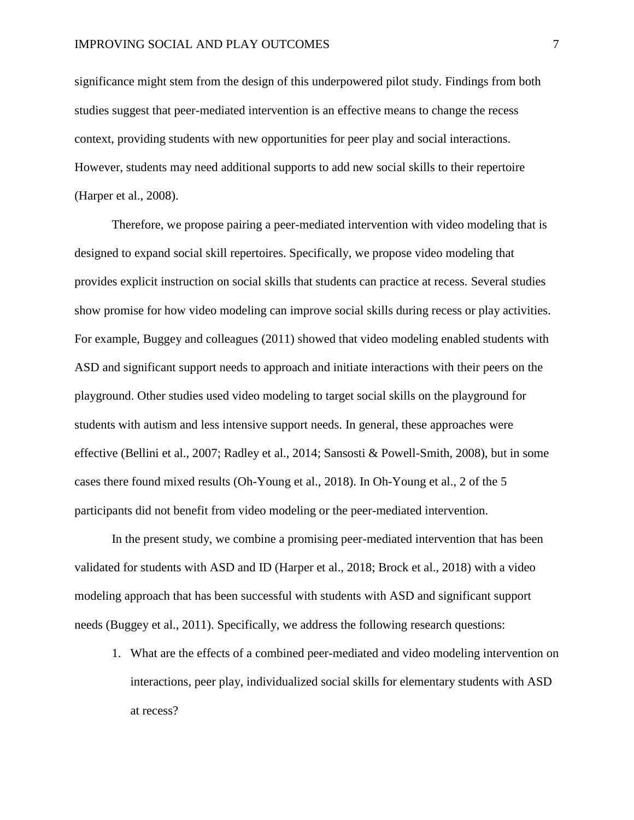significance might stem from the design of this underpowered pilot study. Findings from both studies suggest that peer-mediated intervention is an effective means to change the recess context, providing students with new opportunities for peer play and social interactions. However, students may need additional supports to add new social skills to their repertoire (Harper et al., 2008).

Therefore, we propose pairing a peer-mediated intervention with video modeling that is designed to expand social skill repertoires. Specifically, we propose video modeling that provides explicit instruction on social skills that students can practice at recess. Several studies show promise for how video modeling can improve social skills during recess or play activities. For example, Buggey and colleagues (2011) showed that video modeling enabled students with ASD and significant support needs to approach and initiate interactions with their peers on the playground. Other studies used video modeling to target social skills on the playground for students with autism and less intensive support needs. In general, these approaches were effective (Bellini et al., 2007; Radley et al., 2014; Sansosti & Powell-Smith, 2008), but in some cases there found mixed results (Oh-Young et al., 2018). In Oh-Young et al., 2 of the 5 participants did not benefit from video modeling or the peer-mediated intervention.

In the present study, we combine a promising peer-mediated intervention that has been validated for students with ASD and ID (Harper et al., 2018; Brock et al., 2018) with a video modeling approach that has been successful with students with ASD and significant support needs (Buggey et al., 2011). Specifically, we address the following research questions:

1. What are the effects of a combined peer-mediated and video modeling intervention on interactions, peer play, individualized social skills for elementary students with ASD at recess?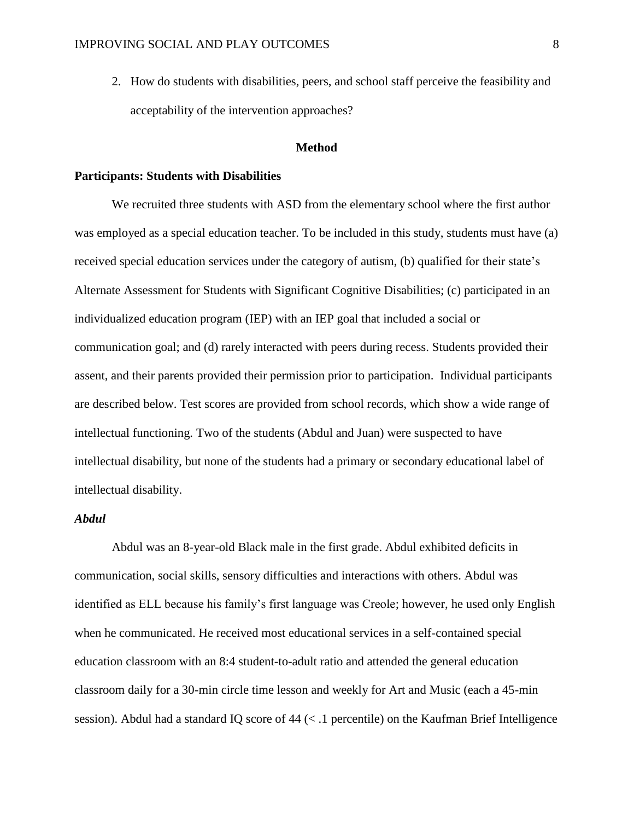2. How do students with disabilities, peers, and school staff perceive the feasibility and acceptability of the intervention approaches?

#### **Method**

#### **Participants: Students with Disabilities**

We recruited three students with ASD from the elementary school where the first author was employed as a special education teacher. To be included in this study, students must have (a) received special education services under the category of autism, (b) qualified for their state's Alternate Assessment for Students with Significant Cognitive Disabilities; (c) participated in an individualized education program (IEP) with an IEP goal that included a social or communication goal; and (d) rarely interacted with peers during recess. Students provided their assent, and their parents provided their permission prior to participation. Individual participants are described below. Test scores are provided from school records, which show a wide range of intellectual functioning. Two of the students (Abdul and Juan) were suspected to have intellectual disability, but none of the students had a primary or secondary educational label of intellectual disability.

#### *Abdul*

Abdul was an 8-year-old Black male in the first grade. Abdul exhibited deficits in communication, social skills, sensory difficulties and interactions with others. Abdul was identified as ELL because his family's first language was Creole; however, he used only English when he communicated. He received most educational services in a self-contained special education classroom with an 8:4 student-to-adult ratio and attended the general education classroom daily for a 30-min circle time lesson and weekly for Art and Music (each a 45-min session). Abdul had a standard IQ score of 44 (< .1 percentile) on the Kaufman Brief Intelligence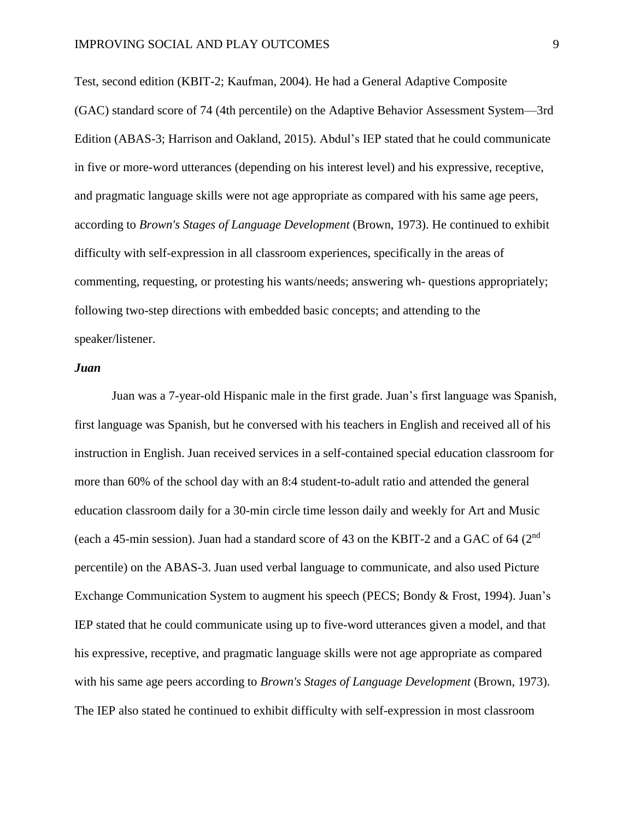Test, second edition (KBIT-2; Kaufman, 2004). He had a General Adaptive Composite (GAC) standard score of 74 (4th percentile) on the Adaptive Behavior Assessment System—3rd Edition (ABAS-3; Harrison and Oakland, 2015). Abdul's IEP stated that he could communicate in five or more-word utterances (depending on his interest level) and his expressive, receptive, and pragmatic language skills were not age appropriate as compared with his same age peers, according to *Brown's Stages of Language Development* (Brown, 1973). He continued to exhibit difficulty with self-expression in all classroom experiences, specifically in the areas of commenting, requesting, or protesting his wants/needs; answering wh- questions appropriately; following two-step directions with embedded basic concepts; and attending to the speaker/listener.

#### *Juan*

Juan was a 7-year-old Hispanic male in the first grade. Juan's first language was Spanish, first language was Spanish, but he conversed with his teachers in English and received all of his instruction in English. Juan received services in a self-contained special education classroom for more than 60% of the school day with an 8:4 student-to-adult ratio and attended the general education classroom daily for a 30-min circle time lesson daily and weekly for Art and Music (each a 45-min session). Juan had a standard score of 43 on the KBIT-2 and a GAC of 64 ( $2<sup>nd</sup>$ percentile) on the ABAS-3. Juan used verbal language to communicate, and also used Picture Exchange Communication System to augment his speech (PECS; Bondy & Frost, 1994). Juan's IEP stated that he could communicate using up to five-word utterances given a model, and that his expressive, receptive, and pragmatic language skills were not age appropriate as compared with his same age peers according to *Brown's Stages of Language Development* (Brown, 1973). The IEP also stated he continued to exhibit difficulty with self-expression in most classroom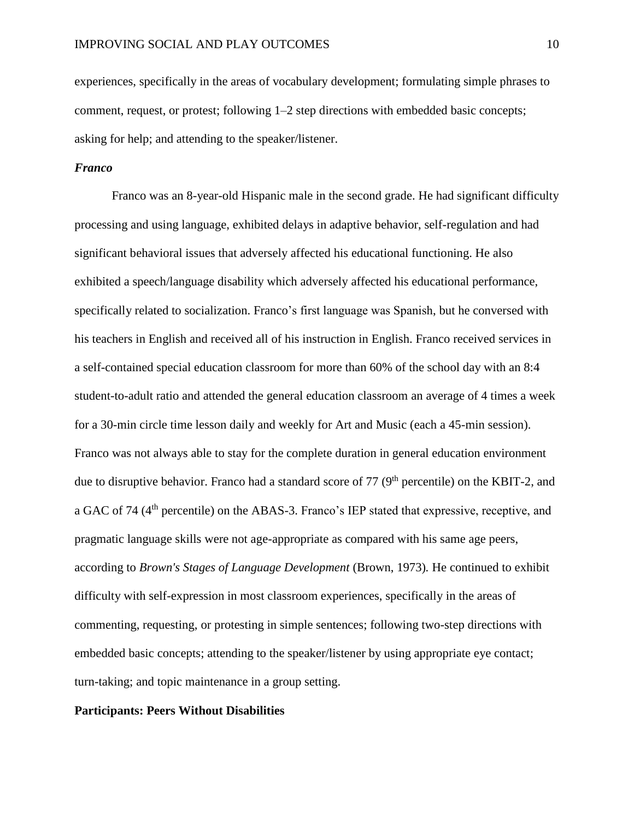experiences, specifically in the areas of vocabulary development; formulating simple phrases to comment, request, or protest; following 1–2 step directions with embedded basic concepts; asking for help; and attending to the speaker/listener.

#### *Franco*

Franco was an 8-year-old Hispanic male in the second grade. He had significant difficulty processing and using language, exhibited delays in adaptive behavior, self-regulation and had significant behavioral issues that adversely affected his educational functioning. He also exhibited a speech/language disability which adversely affected his educational performance, specifically related to socialization. Franco's first language was Spanish, but he conversed with his teachers in English and received all of his instruction in English. Franco received services in a self-contained special education classroom for more than 60% of the school day with an 8:4 student-to-adult ratio and attended the general education classroom an average of 4 times a week for a 30-min circle time lesson daily and weekly for Art and Music (each a 45-min session). Franco was not always able to stay for the complete duration in general education environment due to disruptive behavior. Franco had a standard score of 77 (9<sup>th</sup> percentile) on the KBIT-2, and a GAC of 74 (4<sup>th</sup> percentile) on the ABAS-3. Franco's IEP stated that expressive, receptive, and pragmatic language skills were not age-appropriate as compared with his same age peers, according to *Brown's Stages of Language Development* (Brown, 1973)*.* He continued to exhibit difficulty with self-expression in most classroom experiences, specifically in the areas of commenting, requesting, or protesting in simple sentences; following two-step directions with embedded basic concepts; attending to the speaker/listener by using appropriate eye contact; turn-taking; and topic maintenance in a group setting.

#### **Participants: Peers Without Disabilities**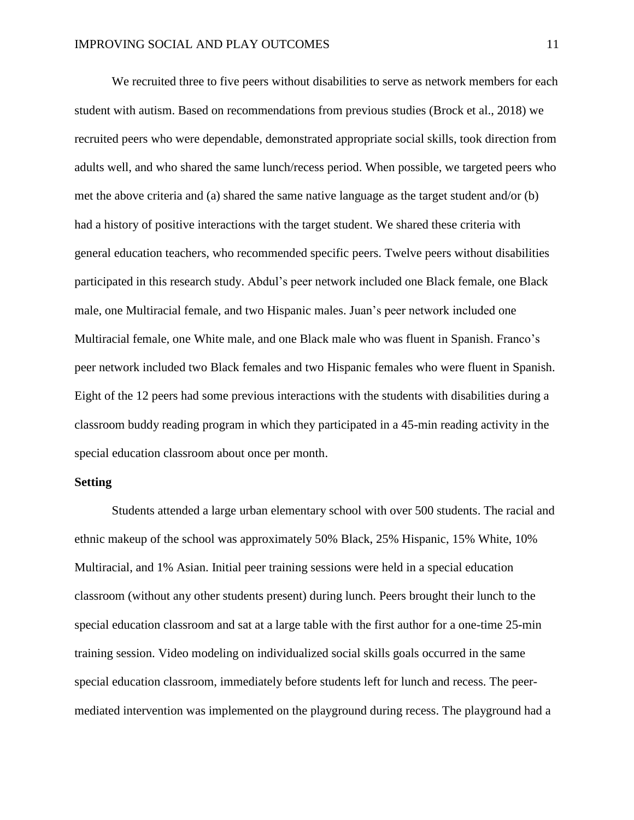We recruited three to five peers without disabilities to serve as network members for each student with autism. Based on recommendations from previous studies (Brock et al., 2018) we recruited peers who were dependable, demonstrated appropriate social skills, took direction from adults well, and who shared the same lunch/recess period. When possible, we targeted peers who met the above criteria and (a) shared the same native language as the target student and/or (b) had a history of positive interactions with the target student. We shared these criteria with general education teachers, who recommended specific peers. Twelve peers without disabilities participated in this research study. Abdul's peer network included one Black female, one Black male, one Multiracial female, and two Hispanic males. Juan's peer network included one Multiracial female, one White male, and one Black male who was fluent in Spanish. Franco's peer network included two Black females and two Hispanic females who were fluent in Spanish. Eight of the 12 peers had some previous interactions with the students with disabilities during a classroom buddy reading program in which they participated in a 45-min reading activity in the special education classroom about once per month.

#### **Setting**

Students attended a large urban elementary school with over 500 students. The racial and ethnic makeup of the school was approximately 50% Black, 25% Hispanic, 15% White, 10% Multiracial, and 1% Asian. Initial peer training sessions were held in a special education classroom (without any other students present) during lunch. Peers brought their lunch to the special education classroom and sat at a large table with the first author for a one-time 25-min training session. Video modeling on individualized social skills goals occurred in the same special education classroom, immediately before students left for lunch and recess. The peermediated intervention was implemented on the playground during recess. The playground had a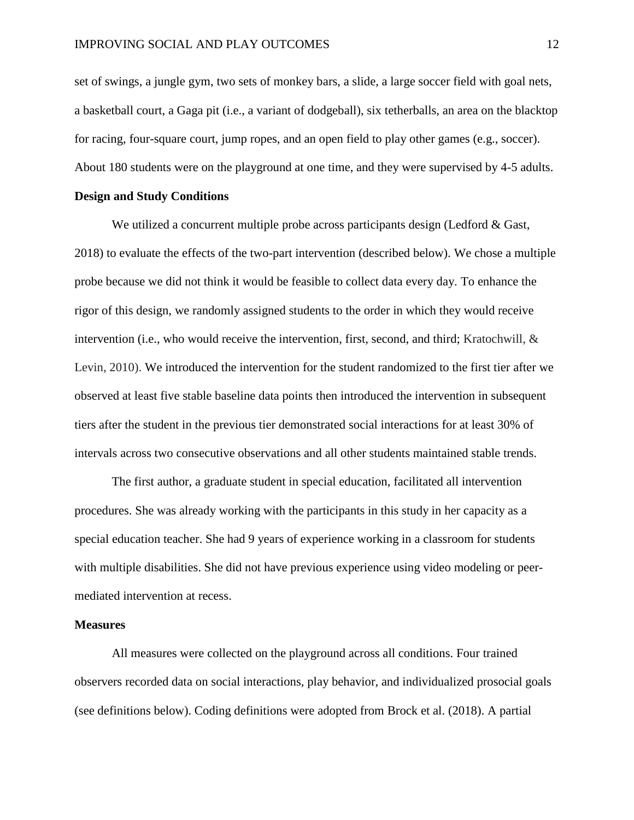set of swings, a jungle gym, two sets of monkey bars, a slide, a large soccer field with goal nets, a basketball court, a Gaga pit (i.e., a variant of dodgeball), six tetherballs, an area on the blacktop for racing, four-square court, jump ropes, and an open field to play other games (e.g., soccer). About 180 students were on the playground at one time, and they were supervised by 4-5 adults.

#### **Design and Study Conditions**

We utilized a concurrent multiple probe across participants design (Ledford  $\&$  Gast, 2018) to evaluate the effects of the two-part intervention (described below). We chose a multiple probe because we did not think it would be feasible to collect data every day. To enhance the rigor of this design, we randomly assigned students to the order in which they would receive intervention (i.e., who would receive the intervention, first, second, and third; Kratochwill, & Levin, 2010). We introduced the intervention for the student randomized to the first tier after we observed at least five stable baseline data points then introduced the intervention in subsequent tiers after the student in the previous tier demonstrated social interactions for at least 30% of intervals across two consecutive observations and all other students maintained stable trends.

The first author, a graduate student in special education, facilitated all intervention procedures. She was already working with the participants in this study in her capacity as a special education teacher. She had 9 years of experience working in a classroom for students with multiple disabilities. She did not have previous experience using video modeling or peermediated intervention at recess.

#### **Measures**

All measures were collected on the playground across all conditions. Four trained observers recorded data on social interactions, play behavior, and individualized prosocial goals (see definitions below). Coding definitions were adopted from Brock et al. (2018). A partial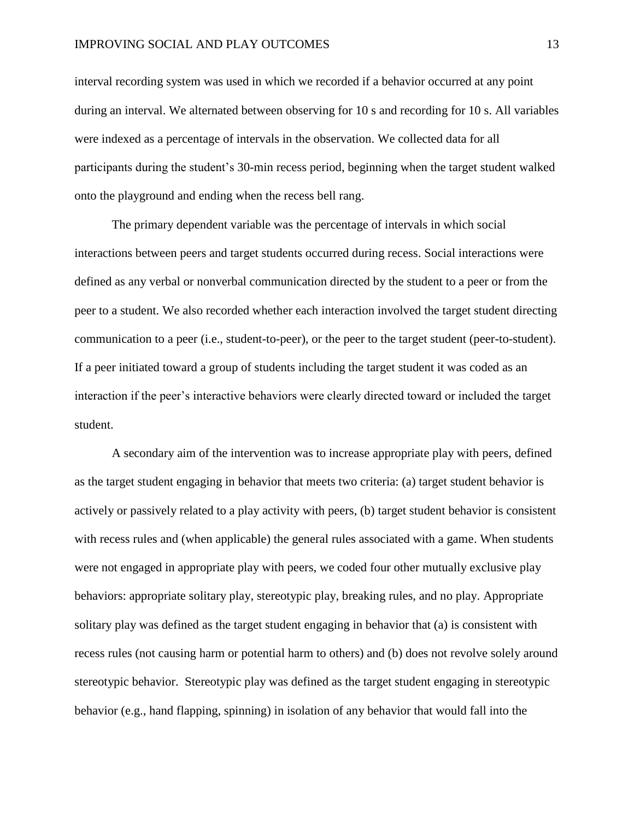interval recording system was used in which we recorded if a behavior occurred at any point during an interval. We alternated between observing for 10 s and recording for 10 s. All variables were indexed as a percentage of intervals in the observation. We collected data for all participants during the student's 30-min recess period, beginning when the target student walked onto the playground and ending when the recess bell rang.

The primary dependent variable was the percentage of intervals in which social interactions between peers and target students occurred during recess. Social interactions were defined as any verbal or nonverbal communication directed by the student to a peer or from the peer to a student. We also recorded whether each interaction involved the target student directing communication to a peer (i.e., student-to-peer), or the peer to the target student (peer-to-student). If a peer initiated toward a group of students including the target student it was coded as an interaction if the peer's interactive behaviors were clearly directed toward or included the target student.

A secondary aim of the intervention was to increase appropriate play with peers, defined as the target student engaging in behavior that meets two criteria: (a) target student behavior is actively or passively related to a play activity with peers, (b) target student behavior is consistent with recess rules and (when applicable) the general rules associated with a game. When students were not engaged in appropriate play with peers, we coded four other mutually exclusive play behaviors: appropriate solitary play, stereotypic play, breaking rules, and no play. Appropriate solitary play was defined as the target student engaging in behavior that (a) is consistent with recess rules (not causing harm or potential harm to others) and (b) does not revolve solely around stereotypic behavior. Stereotypic play was defined as the target student engaging in stereotypic behavior (e.g., hand flapping, spinning) in isolation of any behavior that would fall into the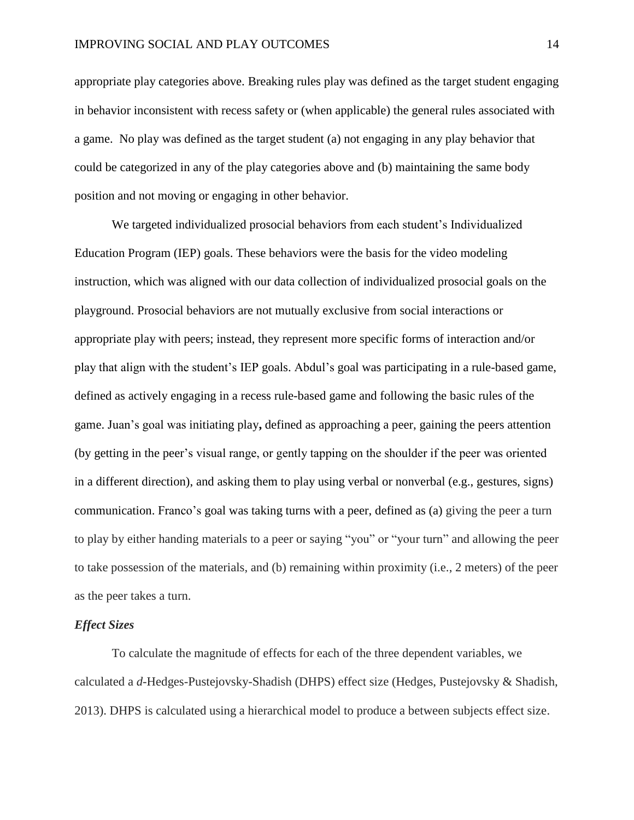appropriate play categories above. Breaking rules play was defined as the target student engaging in behavior inconsistent with recess safety or (when applicable) the general rules associated with a game. No play was defined as the target student (a) not engaging in any play behavior that could be categorized in any of the play categories above and (b) maintaining the same body position and not moving or engaging in other behavior.

We targeted individualized prosocial behaviors from each student's Individualized Education Program (IEP) goals. These behaviors were the basis for the video modeling instruction, which was aligned with our data collection of individualized prosocial goals on the playground. Prosocial behaviors are not mutually exclusive from social interactions or appropriate play with peers; instead, they represent more specific forms of interaction and/or play that align with the student's IEP goals. Abdul's goal was participating in a rule-based game, defined as actively engaging in a recess rule-based game and following the basic rules of the game. Juan's goal was initiating play**,** defined as approaching a peer, gaining the peers attention (by getting in the peer's visual range, or gently tapping on the shoulder if the peer was oriented in a different direction), and asking them to play using verbal or nonverbal (e.g., gestures, signs) communication. Franco's goal was taking turns with a peer, defined as (a) giving the peer a turn to play by either handing materials to a peer or saying "you" or "your turn" and allowing the peer to take possession of the materials, and (b) remaining within proximity (i.e., 2 meters) of the peer as the peer takes a turn.

#### *Effect Sizes*

To calculate the magnitude of effects for each of the three dependent variables, we calculated a *d*-Hedges-Pustejovsky-Shadish (DHPS) effect size (Hedges, Pustejovsky & Shadish, 2013). DHPS is calculated using a hierarchical model to produce a between subjects effect size.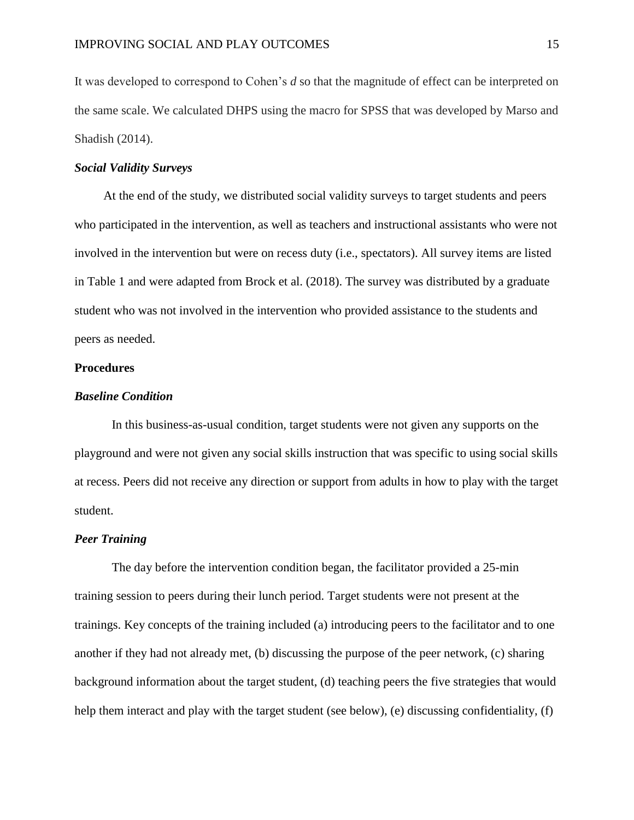It was developed to correspond to Cohen's *d* so that the magnitude of effect can be interpreted on the same scale. We calculated DHPS using the macro for SPSS that was developed by Marso and Shadish (2014).

#### *Social Validity Surveys*

At the end of the study, we distributed social validity surveys to target students and peers who participated in the intervention, as well as teachers and instructional assistants who were not involved in the intervention but were on recess duty (i.e., spectators). All survey items are listed in Table 1 and were adapted from Brock et al. (2018). The survey was distributed by a graduate student who was not involved in the intervention who provided assistance to the students and peers as needed.

#### **Procedures**

#### *Baseline Condition*

In this business-as-usual condition, target students were not given any supports on the playground and were not given any social skills instruction that was specific to using social skills at recess. Peers did not receive any direction or support from adults in how to play with the target student.

#### *Peer Training*

The day before the intervention condition began, the facilitator provided a 25-min training session to peers during their lunch period. Target students were not present at the trainings. Key concepts of the training included (a) introducing peers to the facilitator and to one another if they had not already met, (b) discussing the purpose of the peer network, (c) sharing background information about the target student, (d) teaching peers the five strategies that would help them interact and play with the target student (see below), (e) discussing confidentiality, (f)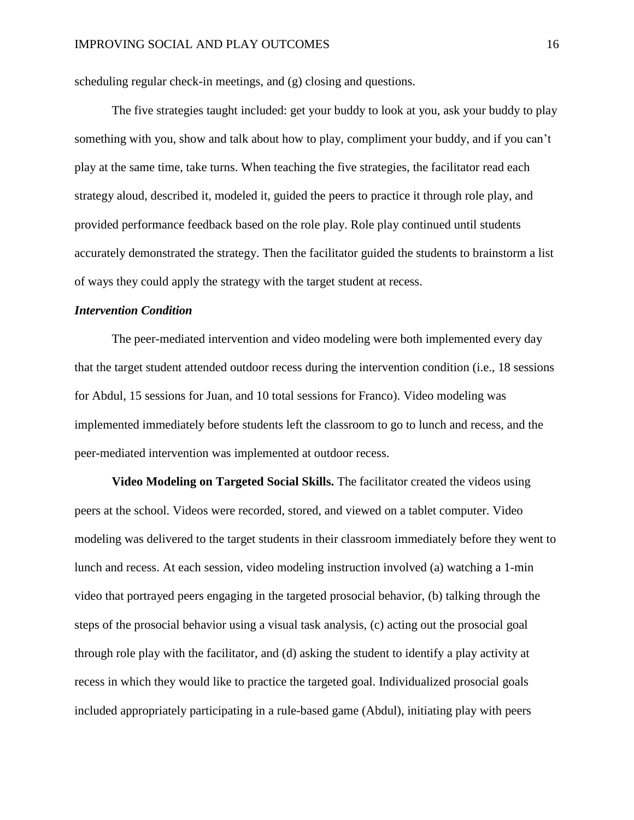scheduling regular check-in meetings, and (g) closing and questions.

The five strategies taught included: get your buddy to look at you, ask your buddy to play something with you, show and talk about how to play, compliment your buddy, and if you can't play at the same time, take turns. When teaching the five strategies, the facilitator read each strategy aloud, described it, modeled it, guided the peers to practice it through role play, and provided performance feedback based on the role play. Role play continued until students accurately demonstrated the strategy. Then the facilitator guided the students to brainstorm a list of ways they could apply the strategy with the target student at recess.

#### *Intervention Condition*

The peer-mediated intervention and video modeling were both implemented every day that the target student attended outdoor recess during the intervention condition (i.e., 18 sessions for Abdul, 15 sessions for Juan, and 10 total sessions for Franco). Video modeling was implemented immediately before students left the classroom to go to lunch and recess, and the peer-mediated intervention was implemented at outdoor recess.

**Video Modeling on Targeted Social Skills.** The facilitator created the videos using peers at the school. Videos were recorded, stored, and viewed on a tablet computer. Video modeling was delivered to the target students in their classroom immediately before they went to lunch and recess. At each session, video modeling instruction involved (a) watching a 1-min video that portrayed peers engaging in the targeted prosocial behavior, (b) talking through the steps of the prosocial behavior using a visual task analysis, (c) acting out the prosocial goal through role play with the facilitator, and (d) asking the student to identify a play activity at recess in which they would like to practice the targeted goal. Individualized prosocial goals included appropriately participating in a rule-based game (Abdul), initiating play with peers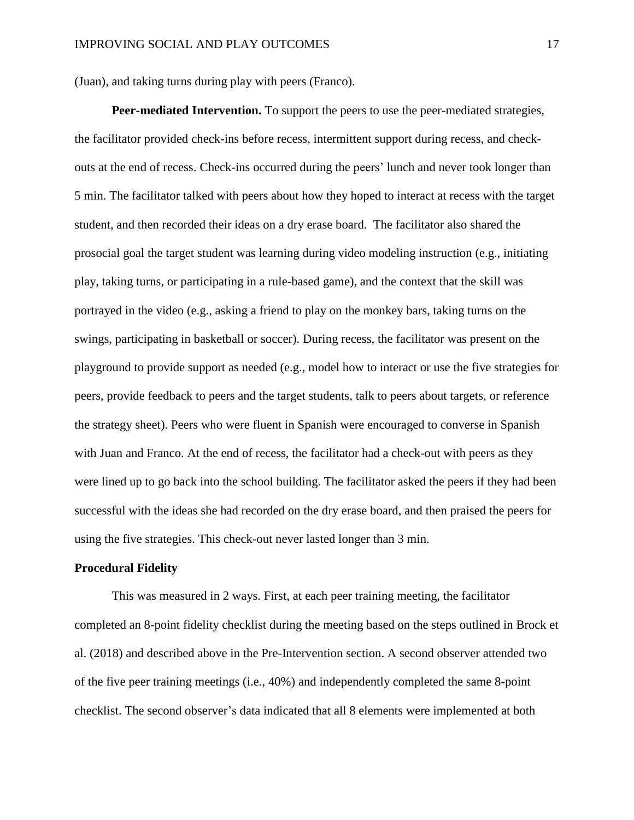(Juan), and taking turns during play with peers (Franco).

**Peer-mediated Intervention.** To support the peers to use the peer-mediated strategies, the facilitator provided check-ins before recess, intermittent support during recess, and checkouts at the end of recess. Check-ins occurred during the peers' lunch and never took longer than 5 min. The facilitator talked with peers about how they hoped to interact at recess with the target student, and then recorded their ideas on a dry erase board. The facilitator also shared the prosocial goal the target student was learning during video modeling instruction (e.g., initiating play, taking turns, or participating in a rule-based game), and the context that the skill was portrayed in the video (e.g., asking a friend to play on the monkey bars, taking turns on the swings, participating in basketball or soccer). During recess, the facilitator was present on the playground to provide support as needed (e.g., model how to interact or use the five strategies for peers, provide feedback to peers and the target students, talk to peers about targets, or reference the strategy sheet). Peers who were fluent in Spanish were encouraged to converse in Spanish with Juan and Franco. At the end of recess, the facilitator had a check-out with peers as they were lined up to go back into the school building. The facilitator asked the peers if they had been successful with the ideas she had recorded on the dry erase board, and then praised the peers for using the five strategies. This check-out never lasted longer than 3 min.

#### **Procedural Fidelity**

This was measured in 2 ways. First, at each peer training meeting, the facilitator completed an 8-point fidelity checklist during the meeting based on the steps outlined in Brock et al. (2018) and described above in the Pre-Intervention section. A second observer attended two of the five peer training meetings (i.e., 40%) and independently completed the same 8-point checklist. The second observer's data indicated that all 8 elements were implemented at both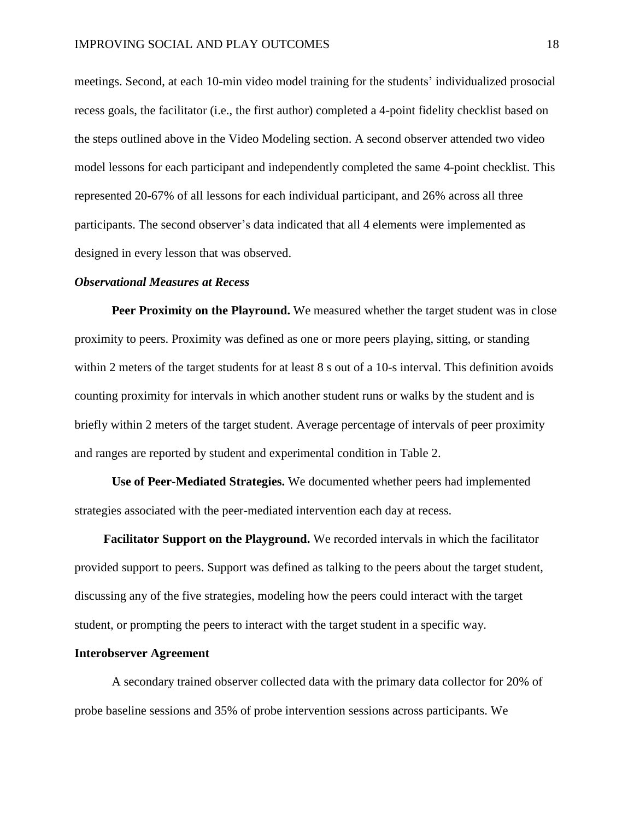meetings. Second, at each 10-min video model training for the students' individualized prosocial recess goals, the facilitator (i.e., the first author) completed a 4-point fidelity checklist based on the steps outlined above in the Video Modeling section. A second observer attended two video model lessons for each participant and independently completed the same 4-point checklist. This represented 20-67% of all lessons for each individual participant, and 26% across all three participants. The second observer's data indicated that all 4 elements were implemented as designed in every lesson that was observed.

#### *Observational Measures at Recess*

**Peer Proximity on the Playround.** We measured whether the target student was in close proximity to peers. Proximity was defined as one or more peers playing, sitting, or standing within 2 meters of the target students for at least 8 s out of a 10-s interval. This definition avoids counting proximity for intervals in which another student runs or walks by the student and is briefly within 2 meters of the target student. Average percentage of intervals of peer proximity and ranges are reported by student and experimental condition in Table 2.

**Use of Peer-Mediated Strategies.** We documented whether peers had implemented strategies associated with the peer-mediated intervention each day at recess.

**Facilitator Support on the Playground.** We recorded intervals in which the facilitator provided support to peers. Support was defined as talking to the peers about the target student, discussing any of the five strategies, modeling how the peers could interact with the target student, or prompting the peers to interact with the target student in a specific way.

#### **Interobserver Agreement**

A secondary trained observer collected data with the primary data collector for 20% of probe baseline sessions and 35% of probe intervention sessions across participants. We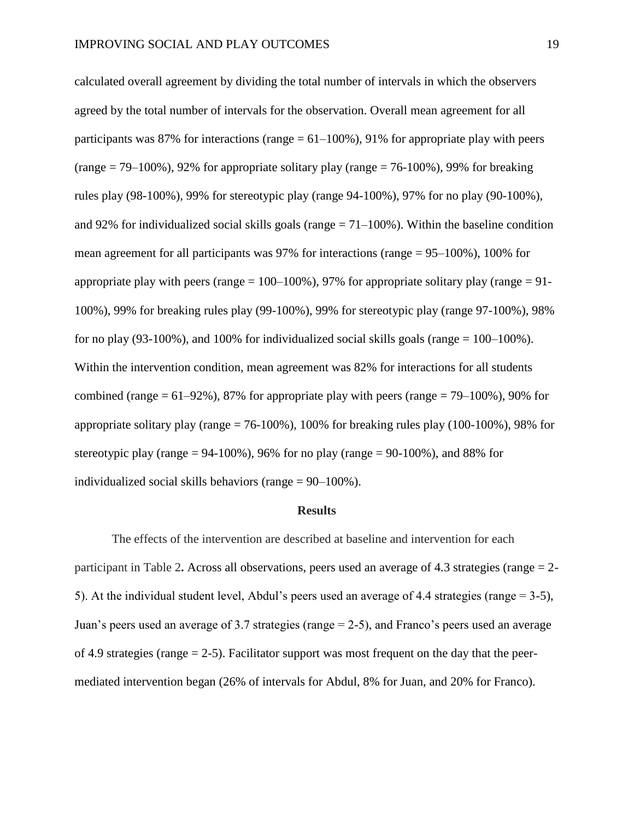calculated overall agreement by dividing the total number of intervals in which the observers agreed by the total number of intervals for the observation. Overall mean agreement for all participants was 87% for interactions (range  $= 61 - 100\%$ ), 91% for appropriate play with peers (range  $= 79-100\%$ ), 92% for appropriate solitary play (range  $= 76-100\%$ ), 99% for breaking rules play (98-100%), 99% for stereotypic play (range 94-100%), 97% for no play (90-100%), and 92% for individualized social skills goals (range  $= 71-100\%$ ). Within the baseline condition mean agreement for all participants was 97% for interactions (range = 95–100%), 100% for appropriate play with peers (range  $= 100-100\%$ ), 97% for appropriate solitary play (range  $= 91-$ 100%), 99% for breaking rules play (99-100%), 99% for stereotypic play (range 97-100%), 98% for no play (93-100%), and 100% for individualized social skills goals (range  $= 100-100\%$ ). Within the intervention condition, mean agreement was 82% for interactions for all students combined (range  $= 61-92\%$ ), 87% for appropriate play with peers (range  $= 79-100\%$ ), 90% for appropriate solitary play (range  $= 76-100\%$ ), 100% for breaking rules play (100-100%), 98% for stereotypic play (range  $= 94-100\%$ ), 96% for no play (range  $= 90-100\%$ ), and 88% for individualized social skills behaviors (range = 90–100%).

#### **Results**

The effects of the intervention are described at baseline and intervention for each participant in Table 2**.** Across all observations, peers used an average of 4.3 strategies (range = 2- 5). At the individual student level, Abdul's peers used an average of 4.4 strategies (range = 3-5), Juan's peers used an average of 3.7 strategies (range = 2-5), and Franco's peers used an average of 4.9 strategies (range  $= 2-5$ ). Facilitator support was most frequent on the day that the peermediated intervention began (26% of intervals for Abdul, 8% for Juan, and 20% for Franco).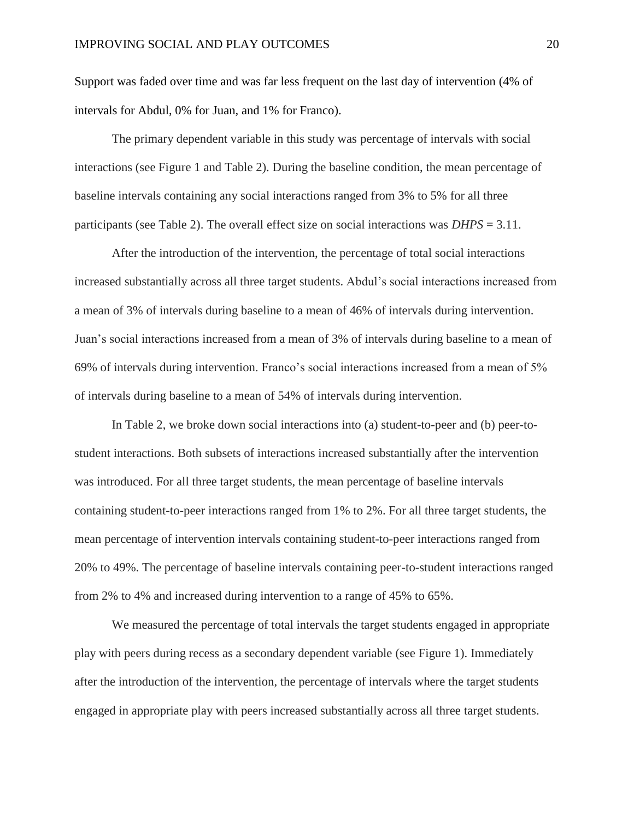Support was faded over time and was far less frequent on the last day of intervention (4% of intervals for Abdul, 0% for Juan, and 1% for Franco).

The primary dependent variable in this study was percentage of intervals with social interactions (see Figure 1 and Table 2). During the baseline condition, the mean percentage of baseline intervals containing any social interactions ranged from 3% to 5% for all three participants (see Table 2). The overall effect size on social interactions was *DHPS* = 3.11.

After the introduction of the intervention, the percentage of total social interactions increased substantially across all three target students. Abdul's social interactions increased from a mean of 3% of intervals during baseline to a mean of 46% of intervals during intervention. Juan's social interactions increased from a mean of 3% of intervals during baseline to a mean of 69% of intervals during intervention. Franco's social interactions increased from a mean of 5% of intervals during baseline to a mean of 54% of intervals during intervention.

In Table 2, we broke down social interactions into (a) student-to-peer and (b) peer-tostudent interactions. Both subsets of interactions increased substantially after the intervention was introduced. For all three target students, the mean percentage of baseline intervals containing student-to-peer interactions ranged from 1% to 2%. For all three target students, the mean percentage of intervention intervals containing student-to-peer interactions ranged from 20% to 49%. The percentage of baseline intervals containing peer-to-student interactions ranged from 2% to 4% and increased during intervention to a range of 45% to 65%.

We measured the percentage of total intervals the target students engaged in appropriate play with peers during recess as a secondary dependent variable (see Figure 1). Immediately after the introduction of the intervention, the percentage of intervals where the target students engaged in appropriate play with peers increased substantially across all three target students.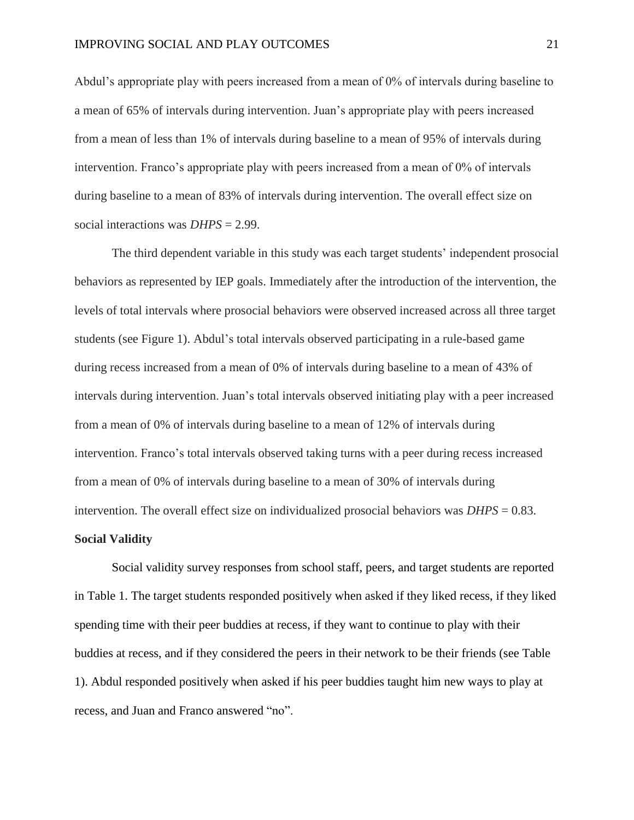Abdul's appropriate play with peers increased from a mean of 0% of intervals during baseline to a mean of 65% of intervals during intervention. Juan's appropriate play with peers increased from a mean of less than 1% of intervals during baseline to a mean of 95% of intervals during intervention. Franco's appropriate play with peers increased from a mean of 0% of intervals during baseline to a mean of 83% of intervals during intervention. The overall effect size on social interactions was *DHPS* = 2.99.

The third dependent variable in this study was each target students' independent prosocial behaviors as represented by IEP goals. Immediately after the introduction of the intervention, the levels of total intervals where prosocial behaviors were observed increased across all three target students (see Figure 1). Abdul's total intervals observed participating in a rule-based game during recess increased from a mean of 0% of intervals during baseline to a mean of 43% of intervals during intervention. Juan's total intervals observed initiating play with a peer increased from a mean of 0% of intervals during baseline to a mean of 12% of intervals during intervention. Franco's total intervals observed taking turns with a peer during recess increased from a mean of 0% of intervals during baseline to a mean of 30% of intervals during intervention. The overall effect size on individualized prosocial behaviors was *DHPS* = 0.83.

#### **Social Validity**

Social validity survey responses from school staff, peers, and target students are reported in Table 1. The target students responded positively when asked if they liked recess, if they liked spending time with their peer buddies at recess, if they want to continue to play with their buddies at recess, and if they considered the peers in their network to be their friends (see Table 1). Abdul responded positively when asked if his peer buddies taught him new ways to play at recess, and Juan and Franco answered "no".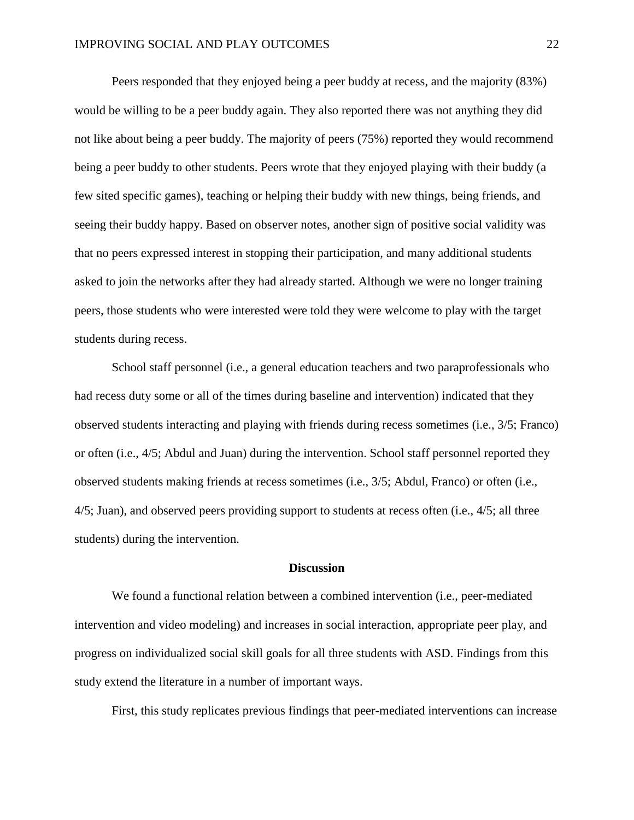Peers responded that they enjoyed being a peer buddy at recess, and the majority (83%) would be willing to be a peer buddy again. They also reported there was not anything they did not like about being a peer buddy. The majority of peers (75%) reported they would recommend being a peer buddy to other students. Peers wrote that they enjoyed playing with their buddy (a few sited specific games), teaching or helping their buddy with new things, being friends, and seeing their buddy happy. Based on observer notes, another sign of positive social validity was that no peers expressed interest in stopping their participation, and many additional students asked to join the networks after they had already started. Although we were no longer training peers, those students who were interested were told they were welcome to play with the target students during recess.

School staff personnel (i.e., a general education teachers and two paraprofessionals who had recess duty some or all of the times during baseline and intervention) indicated that they observed students interacting and playing with friends during recess sometimes (i.e., 3/5; Franco) or often (i.e., 4/5; Abdul and Juan) during the intervention. School staff personnel reported they observed students making friends at recess sometimes (i.e., 3/5; Abdul, Franco) or often (i.e., 4/5; Juan), and observed peers providing support to students at recess often (i.e., 4/5; all three students) during the intervention.

#### **Discussion**

We found a functional relation between a combined intervention (i.e., peer-mediated intervention and video modeling) and increases in social interaction, appropriate peer play, and progress on individualized social skill goals for all three students with ASD. Findings from this study extend the literature in a number of important ways.

First, this study replicates previous findings that peer-mediated interventions can increase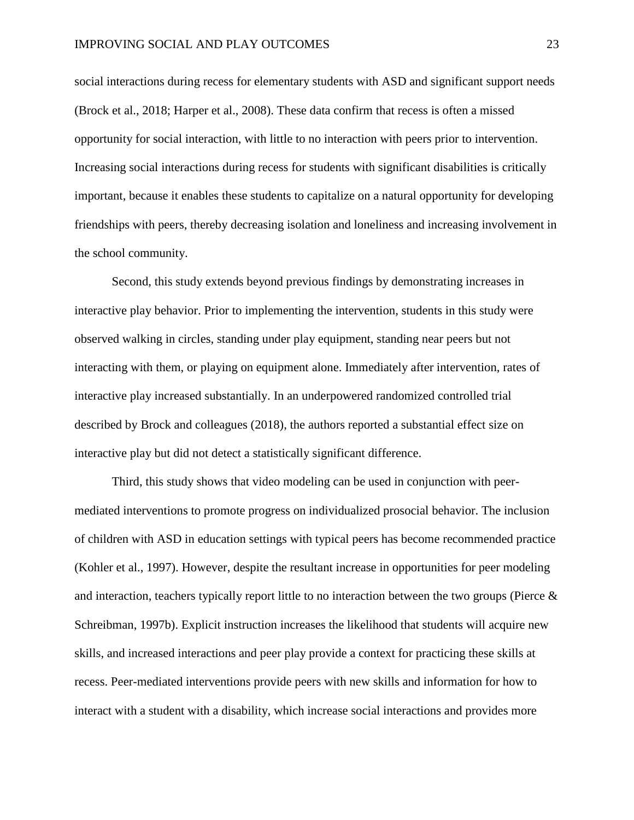social interactions during recess for elementary students with ASD and significant support needs (Brock et al., 2018; Harper et al., 2008). These data confirm that recess is often a missed opportunity for social interaction, with little to no interaction with peers prior to intervention. Increasing social interactions during recess for students with significant disabilities is critically important, because it enables these students to capitalize on a natural opportunity for developing friendships with peers, thereby decreasing isolation and loneliness and increasing involvement in the school community.

Second, this study extends beyond previous findings by demonstrating increases in interactive play behavior. Prior to implementing the intervention, students in this study were observed walking in circles, standing under play equipment, standing near peers but not interacting with them, or playing on equipment alone. Immediately after intervention, rates of interactive play increased substantially. In an underpowered randomized controlled trial described by Brock and colleagues (2018), the authors reported a substantial effect size on interactive play but did not detect a statistically significant difference.

Third, this study shows that video modeling can be used in conjunction with peermediated interventions to promote progress on individualized prosocial behavior. The inclusion of children with ASD in education settings with typical peers has become recommended practice (Kohler et al., 1997). However, despite the resultant increase in opportunities for peer modeling and interaction, teachers typically report little to no interaction between the two groups (Pierce & Schreibman, 1997b). Explicit instruction increases the likelihood that students will acquire new skills, and increased interactions and peer play provide a context for practicing these skills at recess. Peer-mediated interventions provide peers with new skills and information for how to interact with a student with a disability, which increase social interactions and provides more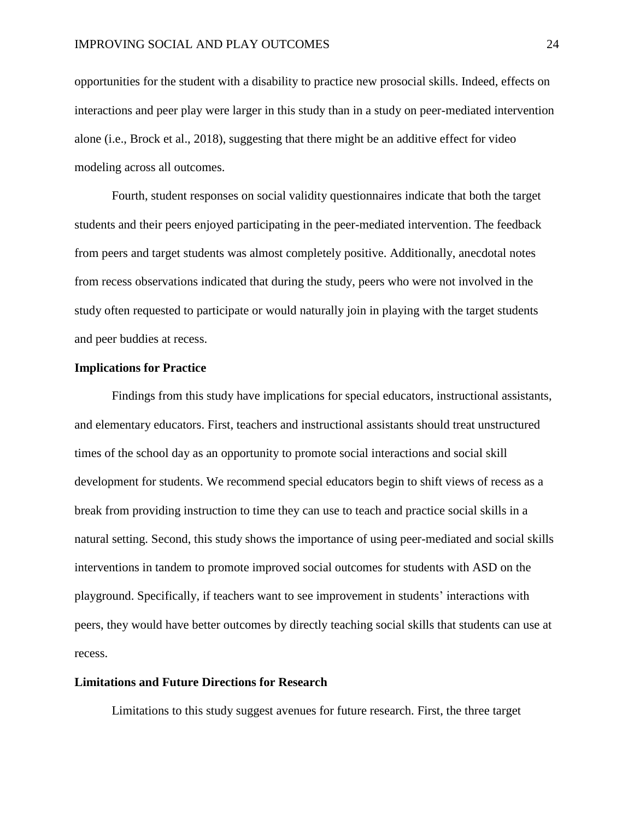opportunities for the student with a disability to practice new prosocial skills. Indeed, effects on interactions and peer play were larger in this study than in a study on peer-mediated intervention alone (i.e., Brock et al., 2018), suggesting that there might be an additive effect for video modeling across all outcomes.

Fourth, student responses on social validity questionnaires indicate that both the target students and their peers enjoyed participating in the peer-mediated intervention. The feedback from peers and target students was almost completely positive. Additionally, anecdotal notes from recess observations indicated that during the study, peers who were not involved in the study often requested to participate or would naturally join in playing with the target students and peer buddies at recess.

#### **Implications for Practice**

Findings from this study have implications for special educators, instructional assistants, and elementary educators. First, teachers and instructional assistants should treat unstructured times of the school day as an opportunity to promote social interactions and social skill development for students. We recommend special educators begin to shift views of recess as a break from providing instruction to time they can use to teach and practice social skills in a natural setting. Second, this study shows the importance of using peer-mediated and social skills interventions in tandem to promote improved social outcomes for students with ASD on the playground. Specifically, if teachers want to see improvement in students' interactions with peers, they would have better outcomes by directly teaching social skills that students can use at recess.

#### **Limitations and Future Directions for Research**

Limitations to this study suggest avenues for future research. First, the three target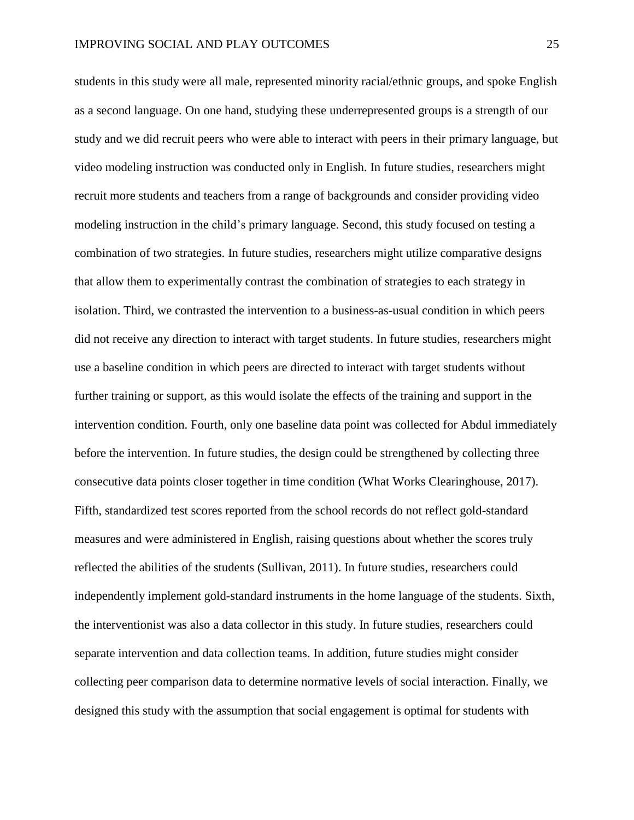students in this study were all male, represented minority racial/ethnic groups, and spoke English as a second language. On one hand, studying these underrepresented groups is a strength of our study and we did recruit peers who were able to interact with peers in their primary language, but video modeling instruction was conducted only in English. In future studies, researchers might recruit more students and teachers from a range of backgrounds and consider providing video modeling instruction in the child's primary language. Second, this study focused on testing a combination of two strategies. In future studies, researchers might utilize comparative designs that allow them to experimentally contrast the combination of strategies to each strategy in isolation. Third, we contrasted the intervention to a business-as-usual condition in which peers did not receive any direction to interact with target students. In future studies, researchers might use a baseline condition in which peers are directed to interact with target students without further training or support, as this would isolate the effects of the training and support in the intervention condition. Fourth, only one baseline data point was collected for Abdul immediately before the intervention. In future studies, the design could be strengthened by collecting three consecutive data points closer together in time condition (What Works Clearinghouse, 2017). Fifth, standardized test scores reported from the school records do not reflect gold-standard measures and were administered in English, raising questions about whether the scores truly reflected the abilities of the students (Sullivan, 2011). In future studies, researchers could independently implement gold-standard instruments in the home language of the students. Sixth, the interventionist was also a data collector in this study. In future studies, researchers could separate intervention and data collection teams. In addition, future studies might consider collecting peer comparison data to determine normative levels of social interaction. Finally, we designed this study with the assumption that social engagement is optimal for students with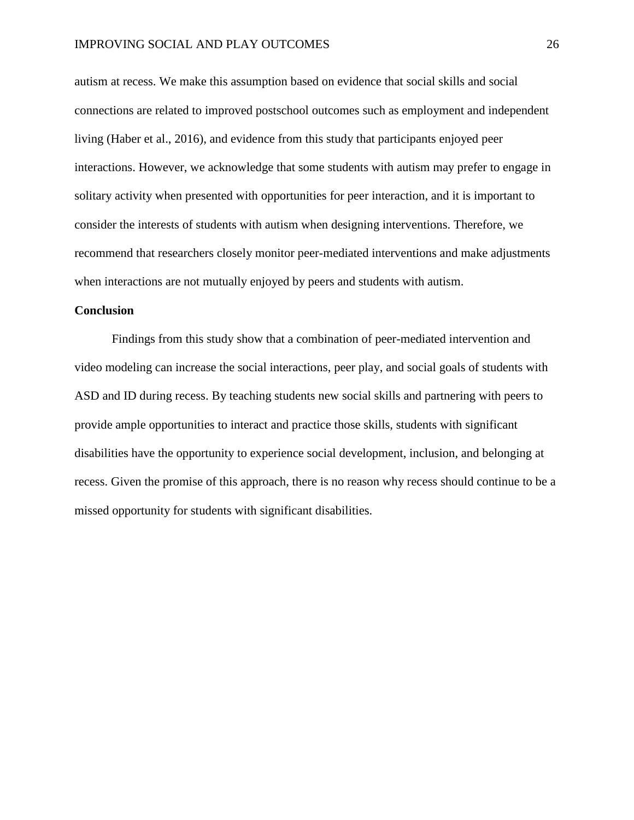autism at recess. We make this assumption based on evidence that social skills and social connections are related to improved postschool outcomes such as employment and independent living (Haber et al., 2016), and evidence from this study that participants enjoyed peer interactions. However, we acknowledge that some students with autism may prefer to engage in solitary activity when presented with opportunities for peer interaction, and it is important to consider the interests of students with autism when designing interventions. Therefore, we recommend that researchers closely monitor peer-mediated interventions and make adjustments when interactions are not mutually enjoyed by peers and students with autism.

#### **Conclusion**

Findings from this study show that a combination of peer-mediated intervention and video modeling can increase the social interactions, peer play, and social goals of students with ASD and ID during recess. By teaching students new social skills and partnering with peers to provide ample opportunities to interact and practice those skills, students with significant disabilities have the opportunity to experience social development, inclusion, and belonging at recess. Given the promise of this approach, there is no reason why recess should continue to be a missed opportunity for students with significant disabilities.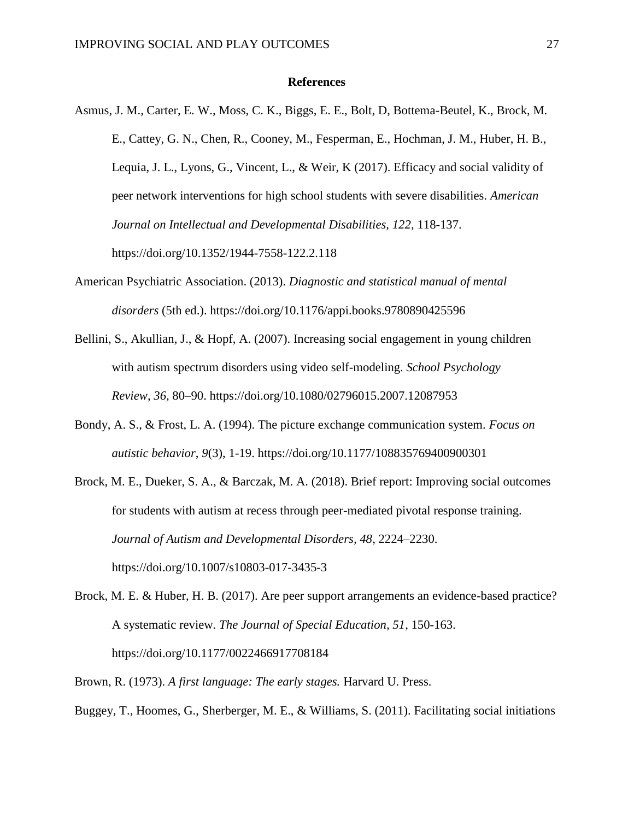#### **References**

- Asmus, J. M., Carter, E. W., Moss, C. K., Biggs, E. E., Bolt, D, Bottema-Beutel, K., Brock, M. E., Cattey, G. N., Chen, R., Cooney, M., Fesperman, E., Hochman, J. M., Huber, H. B., Lequia, J. L., Lyons, G., Vincent, L., & Weir, K (2017). Efficacy and social validity of peer network interventions for high school students with severe disabilities. *American Journal on Intellectual and Developmental Disabilities, 122*, 118-137. https://doi.org/10.1352/1944-7558-122.2.118
- American Psychiatric Association. (2013). *Diagnostic and statistical manual of mental disorders* (5th ed.). https://doi.org/10.1176/appi.books.9780890425596
- Bellini, S., Akullian, J., & Hopf, A. (2007). Increasing social engagement in young children with autism spectrum disorders using video self-modeling. *School Psychology Review*, *36,* 80–90. https://doi.org/10.1080/02796015.2007.12087953
- Bondy, A. S., & Frost, L. A. (1994). The picture exchange communication system. *Focus on autistic behavior*, *9*(3), 1-19. https://doi.org/10.1177/108835769400900301
- Brock, M. E., Dueker, S. A., & Barczak, M. A. (2018). Brief report: Improving social outcomes for students with autism at recess through peer-mediated pivotal response training. *Journal of Autism and Developmental Disorders, 48*, 2224–2230. https://doi.org/10.1007/s10803-017-3435-3
- Brock, M. E. & Huber, H. B. (2017). Are peer support arrangements an evidence-based practice? A systematic review. *The Journal of Special Education, 51*, 150-163. https://doi.org/10.1177/0022466917708184
- Brown, R. (1973). *A first language: The early stages.* Harvard U. Press.
- Buggey, T., Hoomes, G., Sherberger, M. E., & Williams, S. (2011). Facilitating social initiations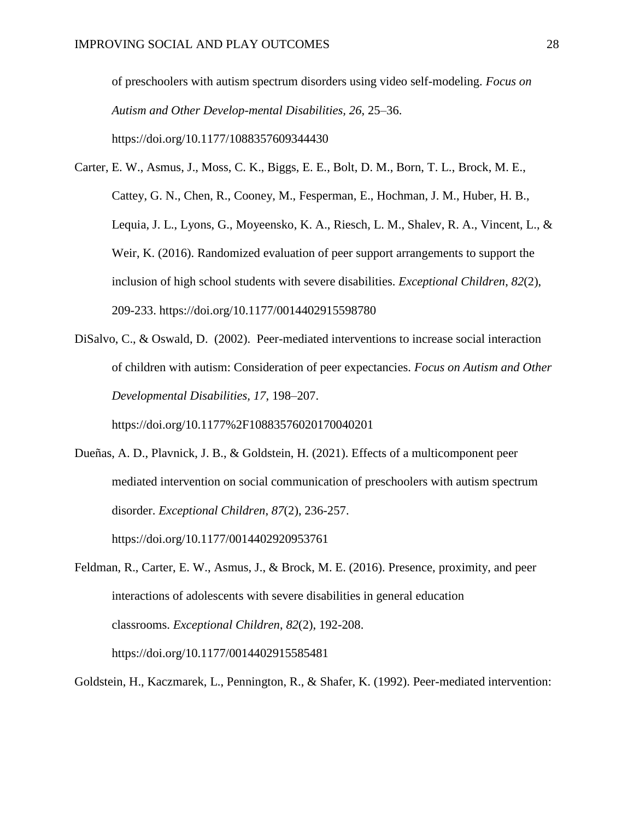of preschoolers with autism spectrum disorders using video self-modeling. *Focus on Autism and Other Develop-mental Disabilities, 26*, 25–36. https://doi.org/10.1177/1088357609344430

- Carter, E. W., Asmus, J., Moss, C. K., Biggs, E. E., Bolt, D. M., Born, T. L., Brock, M. E., Cattey, G. N., Chen, R., Cooney, M., Fesperman, E., Hochman, J. M., Huber, H. B., Lequia, J. L., Lyons, G., Moyeensko, K. A., Riesch, L. M., Shalev, R. A., Vincent, L., & Weir, K. (2016). Randomized evaluation of peer support arrangements to support the inclusion of high school students with severe disabilities. *Exceptional Children*, *82*(2), 209-233. https://doi.org/10.1177/0014402915598780
- DiSalvo, C., & Oswald, D. (2002). Peer-mediated interventions to increase social interaction of children with autism: Consideration of peer expectancies. *Focus on Autism and Other Developmental Disabilities, 17*, 198–207.

https://doi.org/10.1177%2F10883576020170040201

- Dueñas, A. D., Plavnick, J. B., & Goldstein, H. (2021). Effects of a multicomponent peer mediated intervention on social communication of preschoolers with autism spectrum disorder. *Exceptional Children*, *87*(2), 236-257. https://doi.org/10.1177/0014402920953761
- Feldman, R., Carter, E. W., Asmus, J., & Brock, M. E. (2016). Presence, proximity, and peer interactions of adolescents with severe disabilities in general education classrooms. *Exceptional Children*, *82*(2), 192-208. https://doi.org/10.1177/0014402915585481

Goldstein, H., Kaczmarek, L., Pennington, R., & Shafer, K. (1992). Peer-mediated intervention: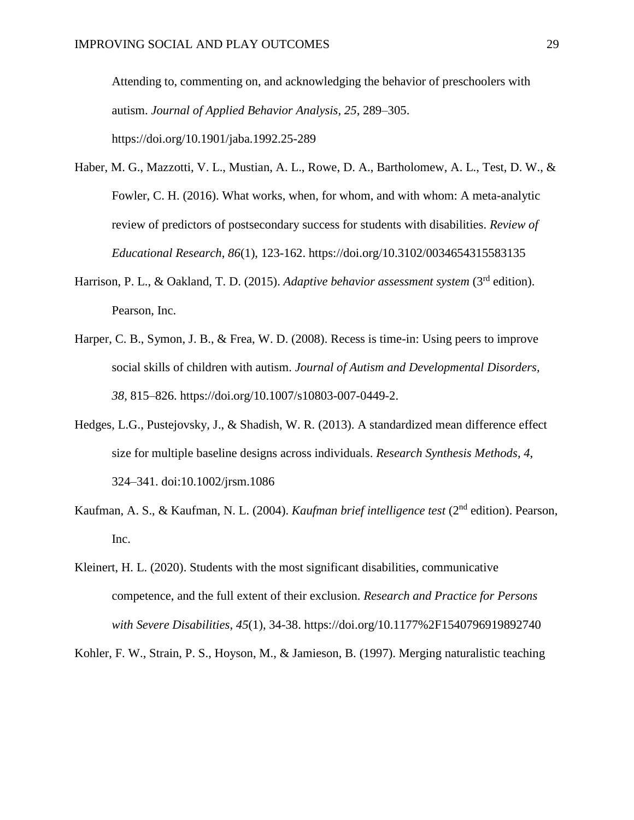Attending to, commenting on, and acknowledging the behavior of preschoolers with autism. *Journal of Applied Behavior Analysis, 25*, 289–305. https://doi.org/10.1901/jaba.1992.25-289

- Haber, M. G., Mazzotti, V. L., Mustian, A. L., Rowe, D. A., Bartholomew, A. L., Test, D. W., & Fowler, C. H. (2016). What works, when, for whom, and with whom: A meta-analytic review of predictors of postsecondary success for students with disabilities. *Review of Educational Research*, *86*(1), 123-162. https://doi.org/10.3102/0034654315583135
- Harrison, P. L., & Oakland, T. D. (2015). *Adaptive behavior assessment system* (3<sup>rd</sup> edition). Pearson, Inc.
- Harper, C. B., Symon, J. B., & Frea, W. D. (2008). Recess is time-in: Using peers to improve social skills of children with autism. *Journal of Autism and Developmental Disorders, 38*, 815–826. https://doi.org/10.1007/s10803-007-0449-2.
- Hedges, L.G., Pustejovsky, J., & Shadish, W. R. (2013). A standardized mean difference effect size for multiple baseline designs across individuals. *Research Synthesis Methods*, *4*, 324–341. doi:10.1002/jrsm.1086
- Kaufman, A. S., & Kaufman, N. L. (2004). *Kaufman brief intelligence test* (2nd edition). Pearson, Inc.
- Kleinert, H. L. (2020). Students with the most significant disabilities, communicative competence, and the full extent of their exclusion. *Research and Practice for Persons with Severe Disabilities*, *45*(1), 34-38. https://doi.org/10.1177%2F1540796919892740

Kohler, F. W., Strain, P. S., Hoyson, M., & Jamieson, B. (1997). Merging naturalistic teaching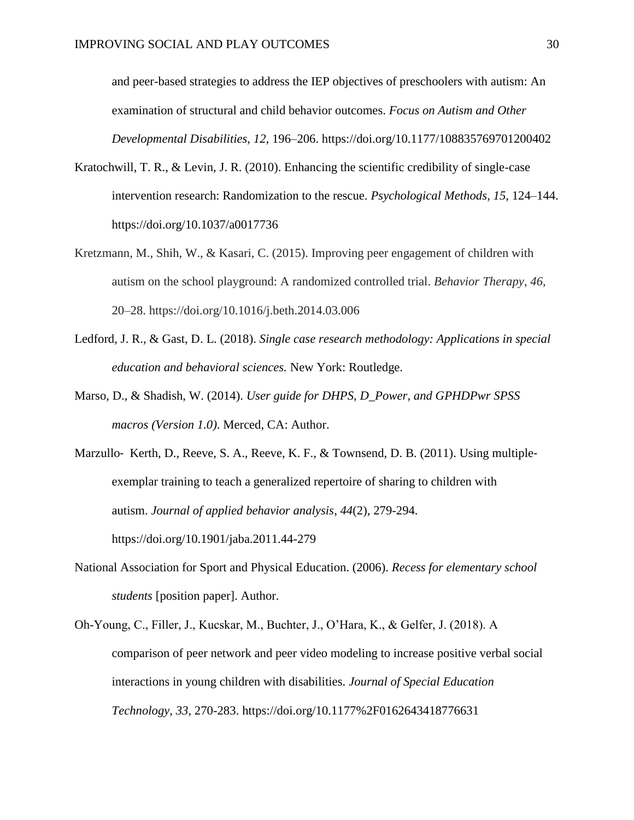and peer-based strategies to address the IEP objectives of preschoolers with autism: An examination of structural and child behavior outcomes. *Focus on Autism and Other Developmental Disabilities, 12*, 196–206. https://doi.org/10.1177/108835769701200402

- Kratochwill, T. R., & Levin, J. R. (2010). Enhancing the scientific credibility of single-case intervention research: Randomization to the rescue. *Psychological Methods, 15*, 124–144. https://doi.org/10.1037/a0017736
- Kretzmann, M., Shih, W., & Kasari, C. (2015). Improving peer engagement of children with autism on the school playground: A randomized controlled trial. *Behavior Therapy*, *46*, 20–28. https://doi.org/10.1016/j.beth.2014.03.006
- Ledford, J. R., & Gast, D. L. (2018). *Single case research methodology: Applications in special education and behavioral sciences.* New York: Routledge.
- Marso, D., & Shadish, W. (2014). *User guide for DHPS, D\_Power, and GPHDPwr SPSS macros (Version 1.0)*. Merced, CA: Author.

Marzullo- Kerth, D., Reeve, S. A., Reeve, K. F., & Townsend, D. B. (2011). Using multipleexemplar training to teach a generalized repertoire of sharing to children with autism. *Journal of applied behavior analysis*, *44*(2), 279-294. https://doi.org/10.1901/jaba.2011.44-279

- National Association for Sport and Physical Education. (2006). *Recess for elementary school students* [position paper]. Author.
- Oh-Young, C., Filler, J., Kucskar, M., Buchter, J., O'Hara, K., & Gelfer, J. (2018). A comparison of peer network and peer video modeling to increase positive verbal social interactions in young children with disabilities. *Journal of Special Education Technology*, *33*, 270-283. https://doi.org/10.1177%2F0162643418776631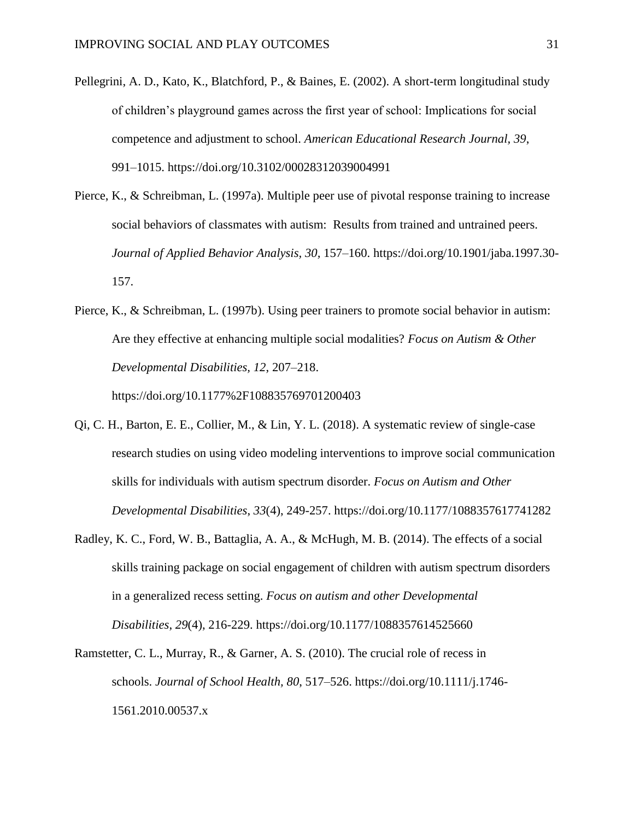- Pellegrini, A. D., Kato, K., Blatchford, P., & Baines, E. (2002). A short-term longitudinal study of children's playground games across the first year of school: Implications for social competence and adjustment to school. *American Educational Research Journal, 39*, 991–1015. https://doi.org/10.3102/00028312039004991
- Pierce, K., & Schreibman, L. (1997a). Multiple peer use of pivotal response training to increase social behaviors of classmates with autism: Results from trained and untrained peers. *Journal of Applied Behavior Analysis, 30,* 157–160. https://doi.org/10.1901/jaba.1997.30- 157.
- Pierce, K., & Schreibman, L. (1997b). Using peer trainers to promote social behavior in autism: Are they effective at enhancing multiple social modalities? *Focus on Autism & Other Developmental Disabilities, 12*, 207–218. https://doi.org/10.1177%2F108835769701200403
- Qi, C. H., Barton, E. E., Collier, M., & Lin, Y. L. (2018). A systematic review of single-case research studies on using video modeling interventions to improve social communication skills for individuals with autism spectrum disorder. *Focus on Autism and Other Developmental Disabilities*, *33*(4), 249-257. https://doi.org/10.1177/1088357617741282
- Radley, K. C., Ford, W. B., Battaglia, A. A., & McHugh, M. B. (2014). The effects of a social skills training package on social engagement of children with autism spectrum disorders in a generalized recess setting. *Focus on autism and other Developmental Disabilities*, *29*(4), 216-229. https://doi.org/10.1177/1088357614525660
- Ramstetter, C. L., Murray, R., & Garner, A. S. (2010). The crucial role of recess in schools. *Journal of School Health, 80*, 517–526. https://doi.org/10.1111/j.1746- 1561.2010.00537.x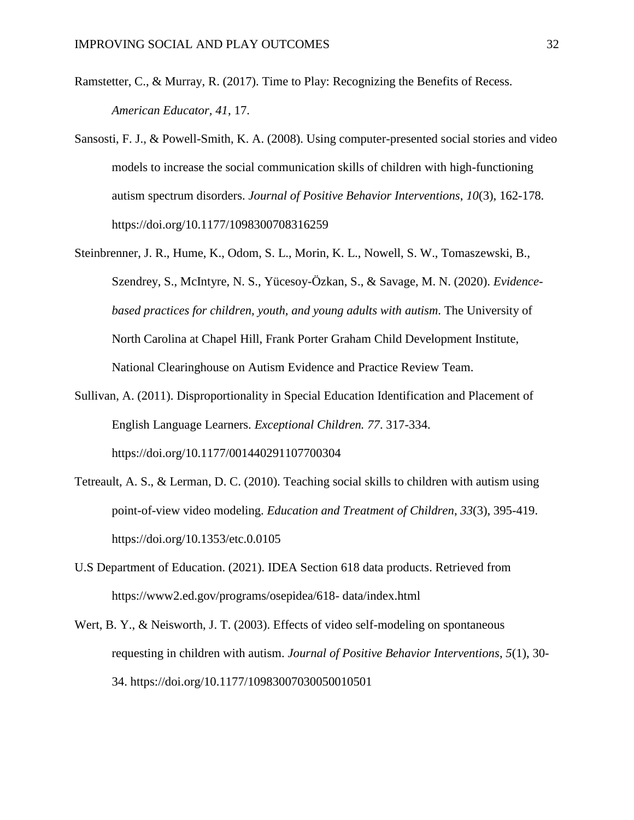- Ramstetter, C., & Murray, R. (2017). Time to Play: Recognizing the Benefits of Recess. *American Educator, 41*, 17.
- Sansosti, F. J., & Powell-Smith, K. A. (2008). Using computer-presented social stories and video models to increase the social communication skills of children with high-functioning autism spectrum disorders. *Journal of Positive Behavior Interventions*, *10*(3), 162-178. https://doi.org/10.1177/1098300708316259
- Steinbrenner, J. R., Hume, K., Odom, S. L., Morin, K. L., Nowell, S. W., Tomaszewski, B., Szendrey, S., McIntyre, N. S., Yücesoy-Özkan, S., & Savage, M. N. (2020). *Evidencebased practices for children, youth, and young adults with autism*. The University of North Carolina at Chapel Hill, Frank Porter Graham Child Development Institute, National Clearinghouse on Autism Evidence and Practice Review Team.
- Sullivan, A. (2011). Disproportionality in Special Education Identification and Placement of English Language Learners. *Exceptional Children. 77*. 317-334. https://doi.org/10.1177/001440291107700304
- Tetreault, A. S., & Lerman, D. C. (2010). Teaching social skills to children with autism using point-of-view video modeling. *Education and Treatment of Children*, *33*(3), 395-419. https://doi.org/10.1353/etc.0.0105
- U.S Department of Education. (2021). IDEA Section 618 data products. Retrieved from https://www2.ed.gov/programs/osepidea/618- data/index.html
- Wert, B. Y., & Neisworth, J. T. (2003). Effects of video self-modeling on spontaneous requesting in children with autism. *Journal of Positive Behavior Interventions*, *5*(1), 30- 34. https://doi.org/10.1177/10983007030050010501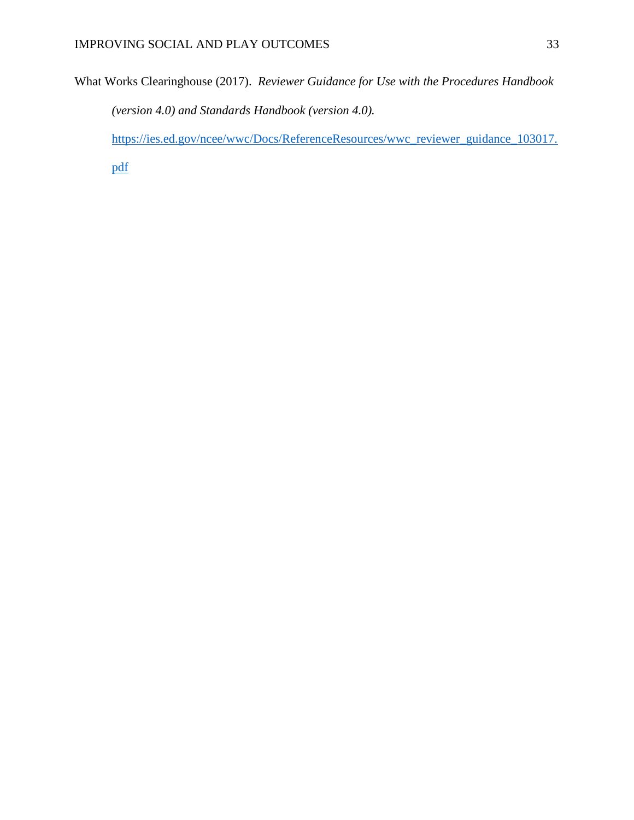What Works Clearinghouse (2017). *Reviewer Guidance for Use with the Procedures Handbook (version 4.0) and Standards Handbook (version 4.0).* 

[https://ies.ed.gov/ncee/wwc/Docs/ReferenceResources/wwc\\_reviewer\\_guidance\\_103017.](https://ies.ed.gov/ncee/wwc/Docs/ReferenceResources/wwc_reviewer_guidance_103017.pdf)

[pdf](https://ies.ed.gov/ncee/wwc/Docs/ReferenceResources/wwc_reviewer_guidance_103017.pdf)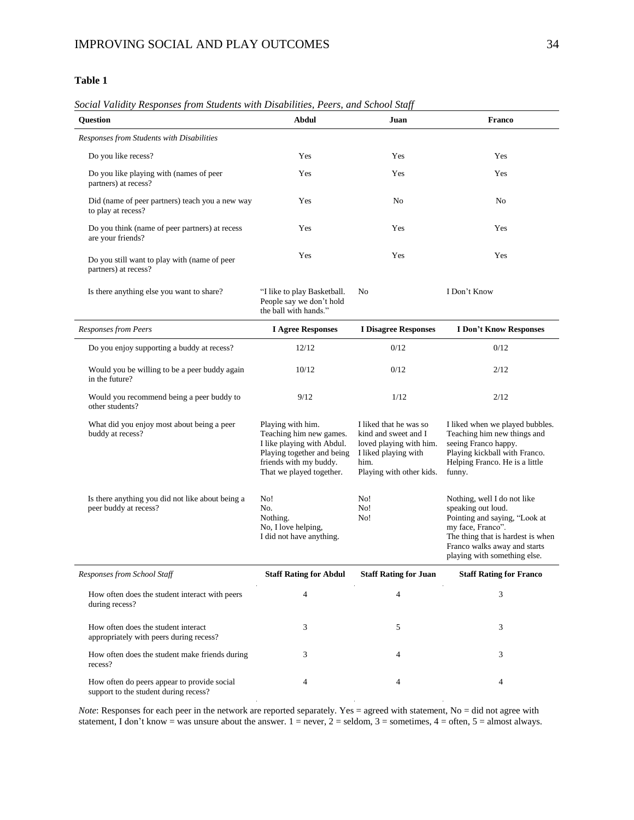#### **Table 1**

#### *Social Validity Responses from Students with Disabilities, Peers, and School Staff*

| <b>Question</b>                                                                      | <b>Abdul</b>                                                                                                                                                   | Juan                                                                                                                                  | Franco                                                                                                                                                                                                       |  |
|--------------------------------------------------------------------------------------|----------------------------------------------------------------------------------------------------------------------------------------------------------------|---------------------------------------------------------------------------------------------------------------------------------------|--------------------------------------------------------------------------------------------------------------------------------------------------------------------------------------------------------------|--|
| Responses from Students with Disabilities                                            |                                                                                                                                                                |                                                                                                                                       |                                                                                                                                                                                                              |  |
| Do you like recess?                                                                  | Yes                                                                                                                                                            | Yes                                                                                                                                   | Yes                                                                                                                                                                                                          |  |
| Do you like playing with (names of peer<br>partners) at recess?                      | Yes                                                                                                                                                            | Yes                                                                                                                                   | Yes                                                                                                                                                                                                          |  |
| Did (name of peer partners) teach you a new way<br>to play at recess?                | Yes                                                                                                                                                            | No                                                                                                                                    | No                                                                                                                                                                                                           |  |
| Do you think (name of peer partners) at recess<br>are your friends?                  | Yes                                                                                                                                                            | Yes                                                                                                                                   | Yes                                                                                                                                                                                                          |  |
| Do you still want to play with (name of peer<br>partners) at recess?                 | Yes                                                                                                                                                            | Yes                                                                                                                                   | Yes                                                                                                                                                                                                          |  |
| Is there anything else you want to share?                                            | "I like to play Basketball.<br>People say we don't hold<br>the ball with hands."                                                                               | N <sub>0</sub>                                                                                                                        | I Don't Know                                                                                                                                                                                                 |  |
| <b>Responses from Peers</b>                                                          | <b>I Agree Responses</b>                                                                                                                                       | <b>I Disagree Responses</b>                                                                                                           | <b>I Don't Know Responses</b>                                                                                                                                                                                |  |
| Do you enjoy supporting a buddy at recess?                                           | 12/12                                                                                                                                                          | 0/12                                                                                                                                  | 0/12                                                                                                                                                                                                         |  |
| Would you be willing to be a peer buddy again<br>in the future?                      | 10/12                                                                                                                                                          | 0/12                                                                                                                                  | 2/12                                                                                                                                                                                                         |  |
| Would you recommend being a peer buddy to<br>other students?                         | 9/12                                                                                                                                                           | 1/12                                                                                                                                  | 2/12                                                                                                                                                                                                         |  |
| What did you enjoy most about being a peer<br>buddy at recess?                       | Playing with him.<br>Teaching him new games.<br>I like playing with Abdul.<br>Playing together and being<br>friends with my buddy.<br>That we played together. | I liked that he was so<br>kind and sweet and I<br>loved playing with him.<br>I liked playing with<br>him.<br>Playing with other kids. | I liked when we played bubbles.<br>Teaching him new things and<br>seeing Franco happy.<br>Playing kickball with Franco.<br>Helping Franco. He is a little<br>funny.                                          |  |
| Is there anything you did not like about being a<br>peer buddy at recess?            | No!<br>No.<br>Nothing.<br>No, I love helping,<br>I did not have anything.                                                                                      | No!<br>No!<br>No!                                                                                                                     | Nothing, well I do not like<br>speaking out loud.<br>Pointing and saying, "Look at<br>my face, Franco".<br>The thing that is hardest is when<br>Franco walks away and starts<br>playing with something else. |  |
| Responses from School Staff                                                          | <b>Staff Rating for Abdul</b>                                                                                                                                  | <b>Staff Rating for Juan</b>                                                                                                          | <b>Staff Rating for Franco</b>                                                                                                                                                                               |  |
| How often does the student interact with peers<br>during recess?                     | 4                                                                                                                                                              | 4                                                                                                                                     | 3                                                                                                                                                                                                            |  |
| How often does the student interact<br>appropriately with peers during recess?       | 3                                                                                                                                                              | 5                                                                                                                                     | 3                                                                                                                                                                                                            |  |
| How often does the student make friends during<br>recess?                            | 3                                                                                                                                                              | 4                                                                                                                                     | 3                                                                                                                                                                                                            |  |
| How often do peers appear to provide social<br>support to the student during recess? | 4                                                                                                                                                              | 4                                                                                                                                     | 4                                                                                                                                                                                                            |  |

*Note*: Responses for each peer in the network are reported separately. Yes = agreed with statement, No = did not agree with statement, I don't know = was unsure about the answer.  $1 =$  never,  $2 =$  seldom,  $3 =$  sometimes,  $4 =$  often,  $5 =$  almost always.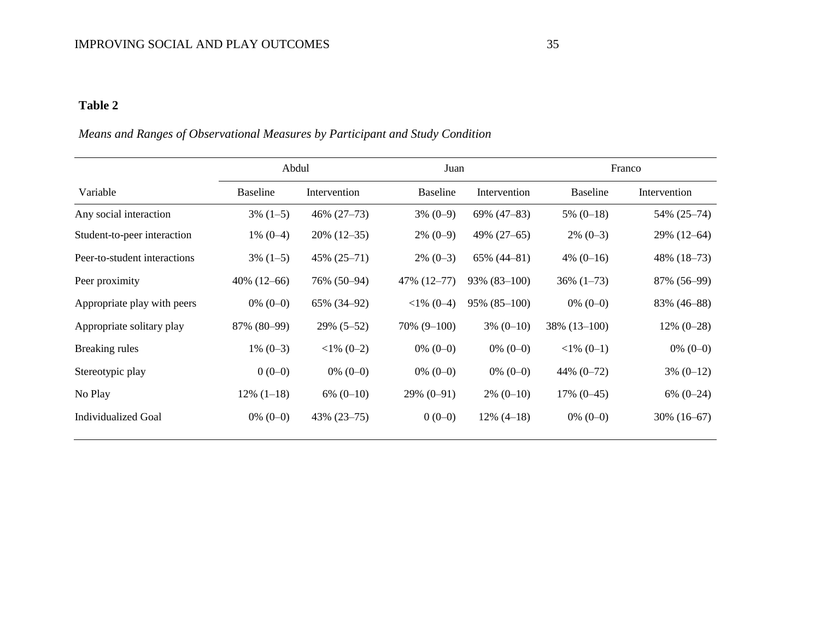## **Table 2**

## *Means and Ranges of Observational Measures by Participant and Study Condition*

|                              | Abdul           |                  | Juan            |                 | Franco          |                |
|------------------------------|-----------------|------------------|-----------------|-----------------|-----------------|----------------|
| Variable                     | <b>Baseline</b> | Intervention     | <b>Baseline</b> | Intervention    | <b>Baseline</b> | Intervention   |
| Any social interaction       | $3\%$ (1-5)     | $46\% (27-73)$   | $3\% (0-9)$     | 69% (47-83)     | $5\%$ (0-18)    | 54% (25–74)    |
| Student-to-peer interaction  | $1\% (0-4)$     | $20\%$ (12-35)   | $2\%$ (0-9)     | 49% (27–65)     | $2\%$ (0-3)     | 29% (12–64)    |
| Peer-to-student interactions | $3\%$ (1-5)     | $45\% (25 - 71)$ | $2\%$ (0-3)     | $65\%$ (44-81)  | $4\%$ (0-16)    | 48% $(18-73)$  |
| Peer proximity               | $40\%$ (12–66)  | 76% (50–94)      | 47% (12-77)     | $93\%$ (83-100) | $36\%$ $(1-73)$ | 87% (56–99)    |
| Appropriate play with peers  | $0\% (0-0)$     | 65% (34-92)      | $<1\%$ (0-4)    | $95\%$ (85-100) | $0\% (0-0)$     | 83% (46–88)    |
| Appropriate solitary play    | 87% (80-99)     | 29% (5–52)       | $70\% (9-100)$  | $3\% (0-10)$    | $38\%$ (13-100) | $12\% (0-28)$  |
| Breaking rules               | $1\% (0-3)$     | $<1\%$ (0-2)     | $0\% (0-0)$     | $0\%$ (0-0)     | $<1\%$ (0-1)    | $0\% (0-0)$    |
| Stereotypic play             | $0(0-0)$        | $0\%$ (0-0)      | $0\%$ (0-0)     | $0\%$ (0-0)     | 44% $(0-72)$    | $3\% (0-12)$   |
| No Play                      | $12\%$ (1-18)   | $6\% (0-10)$     | $29\% (0-91)$   | $2\%$ (0-10)    | $17\% (0-45)$   | $6\% (0-24)$   |
| <b>Individualized Goal</b>   | $0\%$ (0-0)     | $43\% (23 - 75)$ | $0(0-0)$        | $12\%$ (4-18)   | $0\% (0-0)$     | $30\%$ (16–67) |